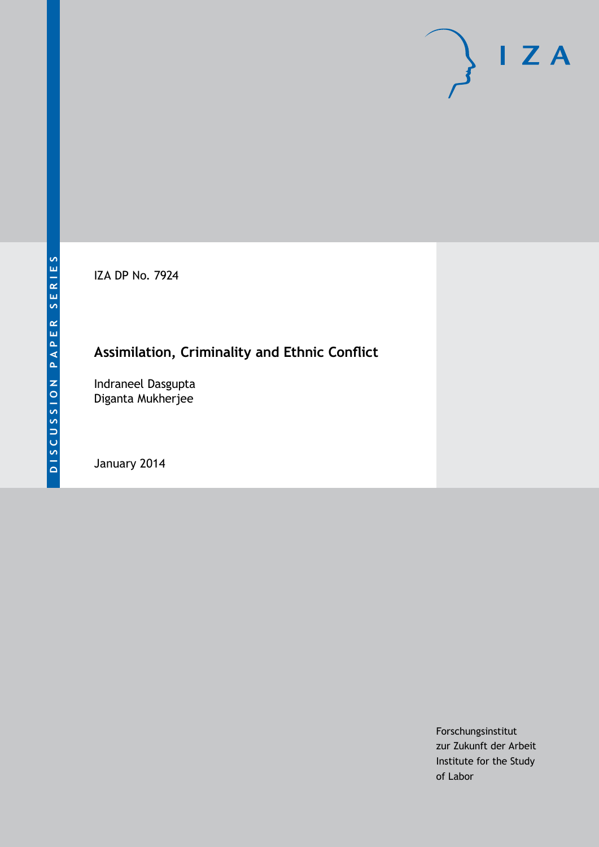IZA DP No. 7924

# **Assimilation, Criminality and Ethnic Conflict**

Indraneel Dasgupta Diganta Mukherjee

January 2014

Forschungsinstitut zur Zukunft der Arbeit Institute for the Study of Labor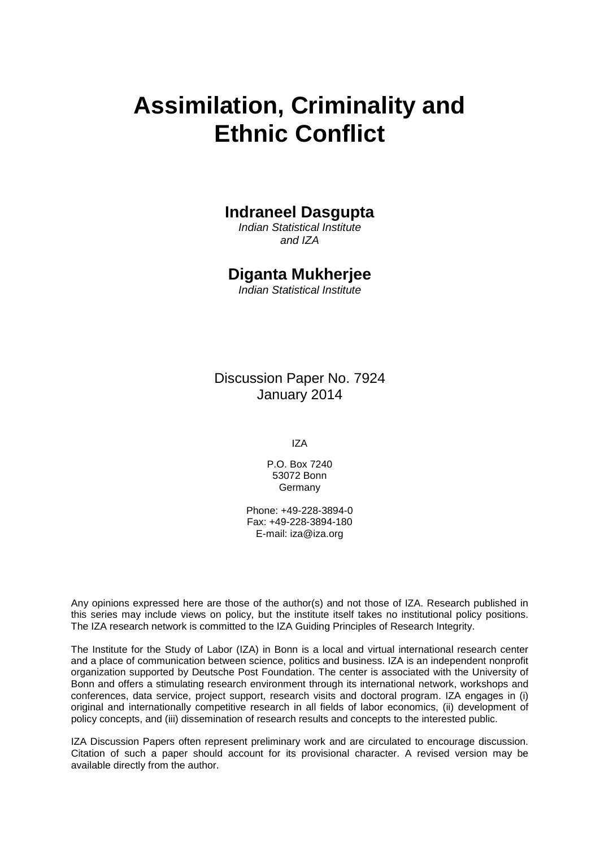# **Assimilation, Criminality and Ethnic Conflict**

### **Indraneel Dasgupta**

*Indian Statistical Institute and IZA*

### **Diganta Mukherjee**

*Indian Statistical Institute*

Discussion Paper No. 7924 January 2014

IZA

P.O. Box 7240 53072 Bonn Germany

Phone: +49-228-3894-0 Fax: +49-228-3894-180 E-mail: [iza@iza.org](mailto:iza@iza.org)

Any opinions expressed here are those of the author(s) and not those of IZA. Research published in this series may include views on policy, but the institute itself takes no institutional policy positions. The IZA research network is committed to the IZA Guiding Principles of Research Integrity.

The Institute for the Study of Labor (IZA) in Bonn is a local and virtual international research center and a place of communication between science, politics and business. IZA is an independent nonprofit organization supported by Deutsche Post Foundation. The center is associated with the University of Bonn and offers a stimulating research environment through its international network, workshops and conferences, data service, project support, research visits and doctoral program. IZA engages in (i) original and internationally competitive research in all fields of labor economics, (ii) development of policy concepts, and (iii) dissemination of research results and concepts to the interested public.

IZA Discussion Papers often represent preliminary work and are circulated to encourage discussion. Citation of such a paper should account for its provisional character. A revised version may be available directly from the author.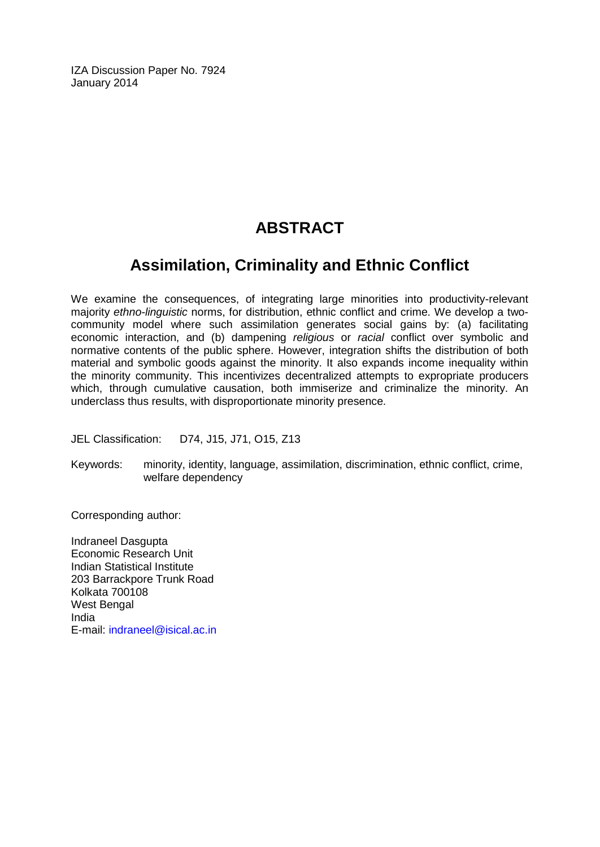IZA Discussion Paper No. 7924 January 2014

# **ABSTRACT**

# **Assimilation, Criminality and Ethnic Conflict**

We examine the consequences, of integrating large minorities into productivity-relevant majority *ethno-linguistic* norms, for distribution, ethnic conflict and crime. We develop a twocommunity model where such assimilation generates social gains by: (a) facilitating economic interaction, and (b) dampening *religious* or *racial* conflict over symbolic and normative contents of the public sphere. However, integration shifts the distribution of both material and symbolic goods against the minority. It also expands income inequality within the minority community. This incentivizes decentralized attempts to expropriate producers which, through cumulative causation, both immiserize and criminalize the minority. An underclass thus results, with disproportionate minority presence.

JEL Classification: D74, J15, J71, O15, Z13

Keywords: minority, identity, language, assimilation, discrimination, ethnic conflict, crime, welfare dependency

Corresponding author:

Indraneel Dasgupta Economic Research Unit Indian Statistical Institute 203 Barrackpore Trunk Road Kolkata 700108 West Bengal India E-mail: [indraneel@isical.ac.in](mailto:indraneel@isical.ac.in)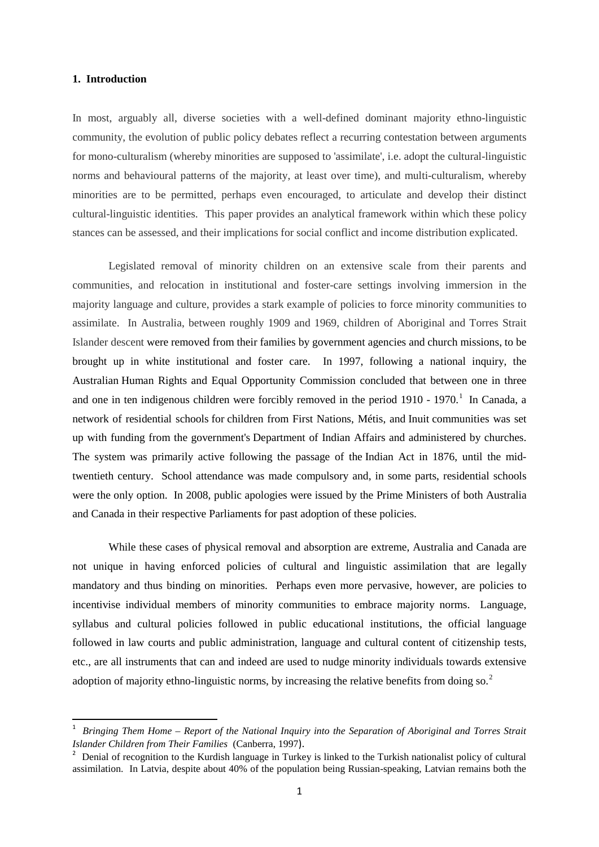#### **1. Introduction**

In most, arguably all, diverse societies with a well-defined dominant majority ethno-linguistic community, the evolution of public policy debates reflect a recurring contestation between arguments for mono-culturalism (whereby minorities are supposed to 'assimilate', i.e. adopt the cultural-linguistic norms and behavioural patterns of the majority, at least over time), and multi-culturalism, whereby minorities are to be permitted, perhaps even encouraged, to articulate and develop their distinct cultural-linguistic identities. This paper provides an analytical framework within which these policy stances can be assessed, and their implications for social conflict and income distribution explicated.

Legislated removal of minority children on an extensive scale from their parents and communities, and relocation in institutional and foster-care settings involving immersion in the majority language and culture, provides a stark example of policies to force minority communities to assimilate. In Australia, between roughly 1909 and 1969, children of Aboriginal and Torres Strait Islander descent were removed from their families by government agencies and church missions, to be brought up in white institutional and foster care. In 1997, following a national inquiry, the Australian Human Rights and Equal Opportunity Commission concluded that between one in three and one in ten indigenous children were forcibly removed in the period  $1910 - 1970$ .<sup>1</sup> In Canada, a network of [residential schools](http://en.wikipedia.org/wiki/Boarding_school) for children from [First Nations,](http://en.wikipedia.org/wiki/First_Nations) [Métis,](http://en.wikipedia.org/wiki/Metis_(Canada)) and [Inuit](http://en.wikipedia.org/wiki/Inuit) communities was set up with funding from the government's Department of Indian Affairs and administered by churches. The system was primarily active following the passage of the Indian Act in 1876, until the midtwentieth century. School attendance was made compulsory and, in some parts, residential schools were the only option. In 2008, public apologies were issued by the Prime Ministers of both Australia and Canada in their respective Parliaments for past adoption of these policies.

<span id="page-3-1"></span>While these cases of physical removal and absorption are extreme, Australia and Canada are not unique in having enforced policies of cultural and linguistic assimilation that are legally mandatory and thus binding on minorities. Perhaps even more pervasive, however, are policies to incentivise individual members of minority communities to embrace majority norms. Language, syllabus and cultural policies followed in public educational institutions, the official language followed in law courts and public administration, language and cultural content of citizenship tests, etc., are all instruments that can and indeed are used to nudge minority individuals towards extensive adoption of majority ethno-linguistic norms, by increasing the relative benefits from doing so. $2$ 

 $\frac{1}{1}$  *Bringing Them Home – [Report of the National Inquiry into the Separation of Aboriginal and Torres Strait](http://en.wikipedia.org/wiki/Bringing_Them_Home)  [Islander Children from Their Families](http://en.wikipedia.org/wiki/Bringing_Them_Home)* (Canberra, 1997). <sup>2</sup>

<span id="page-3-0"></span> $\alpha$  Denial of recognition to the Kurdish language in Turkey is linked to the Turkish nationalist policy of cultural assimilation. In Latvia, despite about 40% of the population being Russian-speaking, Latvian remains both the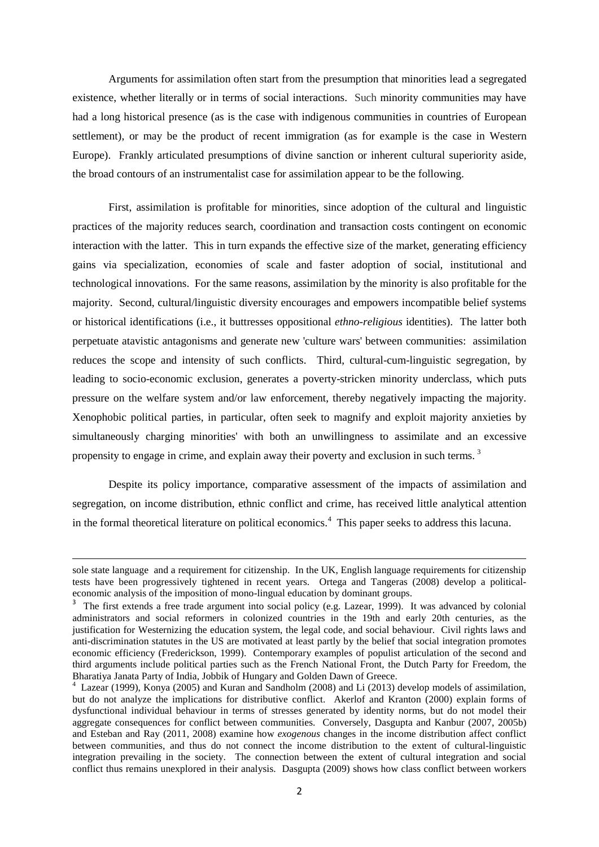Arguments for assimilation often start from the presumption that minorities lead a segregated existence, whether literally or in terms of social interactions. Such minority communities may have had a long historical presence (as is the case with indigenous communities in countries of European settlement), or may be the product of recent immigration (as for example is the case in Western Europe). Frankly articulated presumptions of divine sanction or inherent cultural superiority aside, the broad contours of an instrumentalist case for assimilation appear to be the following.

First, assimilation is profitable for minorities, since adoption of the cultural and linguistic practices of the majority reduces search, coordination and transaction costs contingent on economic interaction with the latter. This in turn expands the effective size of the market, generating efficiency gains via specialization, economies of scale and faster adoption of social, institutional and technological innovations. For the same reasons, assimilation by the minority is also profitable for the majority. Second, cultural/linguistic diversity encourages and empowers incompatible belief systems or historical identifications (i.e., it buttresses oppositional *ethno-religious* identities). The latter both perpetuate atavistic antagonisms and generate new 'culture wars' between communities: assimilation reduces the scope and intensity of such conflicts. Third, cultural-cum-linguistic segregation, by leading to socio-economic exclusion, generates a poverty-stricken minority underclass, which puts pressure on the welfare system and/or law enforcement, thereby negatively impacting the majority. Xenophobic political parties, in particular, often seek to magnify and exploit majority anxieties by simultaneously charging minorities' with both an unwillingness to assimilate and an excessive propensity to engage in crime, and explain away their poverty and exclusion in such terms.<sup>[3](#page-3-1)</sup>

Despite its policy importance, comparative assessment of the impacts of assimilation and segregation, on income distribution, ethnic conflict and crime, has received little analytical attention in the formal theoretical literature on political economics.<sup>[4](#page-4-0)</sup> This paper seeks to address this lacuna.

 $\overline{a}$ 

sole state language and a requirement for citizenship. In the UK, English language requirements for citizenship tests have been progressively tightened in recent years. Ortega and Tangeras (2008) develop a politicaleconomic analysis of the imposition of mono-lingual education by dominant groups.

<sup>3</sup> The first extends a free trade argument into social policy (e.g. Lazear, 1999). It was advanced by colonial administrators and social reformers in colonized countries in the 19th and early 20th centuries, as the justification for Westernizing the education system, the legal code, and social behaviour. Civil rights laws and anti-discrimination statutes in the US are motivated at least partly by the belief that social integration promotes economic efficiency (Frederickson, 1999). Contemporary examples of populist articulation of the second and third arguments include political parties such as the French National Front, the Dutch Party for Freedom, the Bharatiya Janata Party of India, Jobbik of Hungary and Golden Dawn of Greece. <sup>4</sup>

<span id="page-4-1"></span><span id="page-4-0"></span>Lazear (1999), Konya (2005) and Kuran and Sandholm (2008) and Li (2013) develop models of assimilation, but do not analyze the implications for distributive conflict. Akerlof and Kranton (2000) explain forms of dysfunctional individual behaviour in terms of stresses generated by identity norms, but do not model their aggregate consequences for conflict between communities. Conversely, Dasgupta and Kanbur (2007, 2005b) and Esteban and Ray (2011, 2008) examine how *exogenous* changes in the income distribution affect conflict between communities, and thus do not connect the income distribution to the extent of cultural-linguistic integration prevailing in the society. The connection between the extent of cultural integration and social conflict thus remains unexplored in their analysis. Dasgupta (2009) shows how class conflict between workers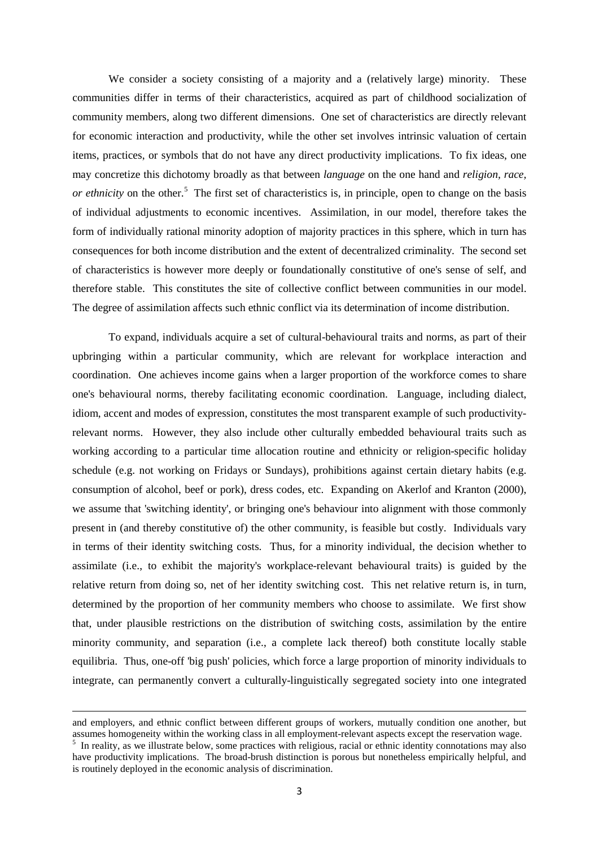We consider a society consisting of a majority and a (relatively large) minority. These communities differ in terms of their characteristics, acquired as part of childhood socialization of community members, along two different dimensions. One set of characteristics are directly relevant for economic interaction and productivity, while the other set involves intrinsic valuation of certain items, practices, or symbols that do not have any direct productivity implications. To fix ideas, one may concretize this dichotomy broadly as that between *language* on the one hand and *religion, race, or ethnicity* on the other. [5](#page-4-1) The first set of characteristics is, in principle, open to change on the basis of individual adjustments to economic incentives. Assimilation, in our model, therefore takes the form of individually rational minority adoption of majority practices in this sphere, which in turn has consequences for both income distribution and the extent of decentralized criminality. The second set of characteristics is however more deeply or foundationally constitutive of one's sense of self, and therefore stable. This constitutes the site of collective conflict between communities in our model. The degree of assimilation affects such ethnic conflict via its determination of income distribution.

To expand, individuals acquire a set of cultural-behavioural traits and norms, as part of their upbringing within a particular community, which are relevant for workplace interaction and coordination. One achieves income gains when a larger proportion of the workforce comes to share one's behavioural norms, thereby facilitating economic coordination. Language, including dialect, idiom, accent and modes of expression, constitutes the most transparent example of such productivityrelevant norms. However, they also include other culturally embedded behavioural traits such as working according to a particular time allocation routine and ethnicity or religion-specific holiday schedule (e.g. not working on Fridays or Sundays), prohibitions against certain dietary habits (e.g. consumption of alcohol, beef or pork), dress codes, etc. Expanding on Akerlof and Kranton (2000), we assume that 'switching identity', or bringing one's behaviour into alignment with those commonly present in (and thereby constitutive of) the other community, is feasible but costly. Individuals vary in terms of their identity switching costs. Thus, for a minority individual, the decision whether to assimilate (i.e., to exhibit the majority's workplace-relevant behavioural traits) is guided by the relative return from doing so, net of her identity switching cost. This net relative return is, in turn, determined by the proportion of her community members who choose to assimilate. We first show that, under plausible restrictions on the distribution of switching costs, assimilation by the entire minority community, and separation (i.e., a complete lack thereof) both constitute locally stable equilibria. Thus, one-off 'big push' policies, which force a large proportion of minority individuals to integrate, can permanently convert a culturally-linguistically segregated society into one integrated

<span id="page-5-0"></span> $\overline{a}$ 

and employers, and ethnic conflict between different groups of workers, mutually condition one another, but assumes homogeneity within the working class in all employment-relevant aspects except the reservation wage.<br><sup>5</sup> In reality, as we illustrate below, some practices with religious, racial or ethnic identity connotations ma have productivity implications. The broad-brush distinction is porous but nonetheless empirically helpful, and is routinely deployed in the economic analysis of discrimination.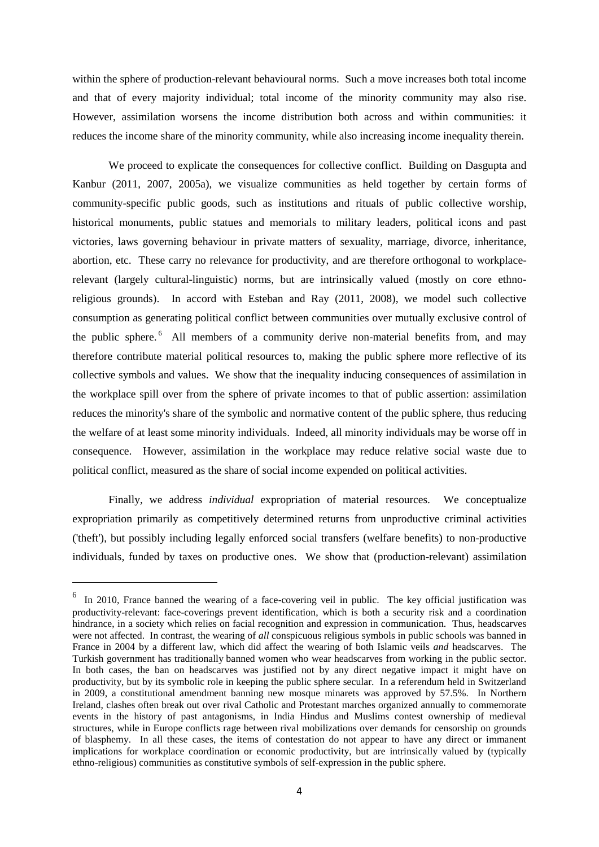within the sphere of production-relevant behavioural norms. Such a move increases both total income and that of every majority individual; total income of the minority community may also rise. However, assimilation worsens the income distribution both across and within communities: it reduces the income share of the minority community, while also increasing income inequality therein.

We proceed to explicate the consequences for collective conflict. Building on Dasgupta and Kanbur (2011, 2007, 2005a), we visualize communities as held together by certain forms of community-specific public goods, such as institutions and rituals of public collective worship, historical monuments, public statues and memorials to military leaders, political icons and past victories, laws governing behaviour in private matters of sexuality, marriage, divorce, inheritance, abortion, etc. These carry no relevance for productivity, and are therefore orthogonal to workplacerelevant (largely cultural-linguistic) norms, but are intrinsically valued (mostly on core ethnoreligious grounds). In accord with Esteban and Ray (2011, 2008), we model such collective consumption as generating political conflict between communities over mutually exclusive control of the public sphere. [6](#page-5-0) All members of a community derive non-material benefits from, and may therefore contribute material political resources to, making the public sphere more reflective of its collective symbols and values. We show that the inequality inducing consequences of assimilation in the workplace spill over from the sphere of private incomes to that of public assertion: assimilation reduces the minority's share of the symbolic and normative content of the public sphere, thus reducing the welfare of at least some minority individuals. Indeed, all minority individuals may be worse off in consequence. However, assimilation in the workplace may reduce relative social waste due to political conflict, measured as the share of social income expended on political activities.

Finally, we address *individual* expropriation of material resources. We conceptualize expropriation primarily as competitively determined returns from unproductive criminal activities ('theft'), but possibly including legally enforced social transfers (welfare benefits) to non-productive individuals, funded by taxes on productive ones. We show that (production-relevant) assimilation

**.** 

<span id="page-6-0"></span><sup>&</sup>lt;sup>6</sup> In 2010, France banned the wearing of a face-covering veil in public. The key official justification was productivity-relevant: face-coverings prevent identification, which is both a security risk and a coordination hindrance, in a society which relies on facial recognition and expression in communication. Thus, headscarves were not affected. In contrast, the wearing of *all* conspicuous religious symbols in public schools was banned in France in 2004 by a different law, which did affect the wearing of both Islamic veils *and* headscarves. The Turkish government has traditionally banned women who wear headscarves from working in the public sector. In both cases, the ban on headscarves was justified not by any direct negative impact it might have on productivity, but by its symbolic role in keeping the public sphere secular. In a referendum held in Switzerland in 2009, a constitutional amendment banning new mosque minarets was approved by 57.5%. In Northern Ireland, clashes often break out over rival Catholic and Protestant marches organized annually to commemorate events in the history of past antagonisms, in India Hindus and Muslims contest ownership of medieval structures, while in Europe conflicts rage between rival mobilizations over demands for censorship on grounds of blasphemy. In all these cases, the items of contestation do not appear to have any direct or immanent implications for workplace coordination or economic productivity, but are intrinsically valued by (typically ethno-religious) communities as constitutive symbols of self-expression in the public sphere.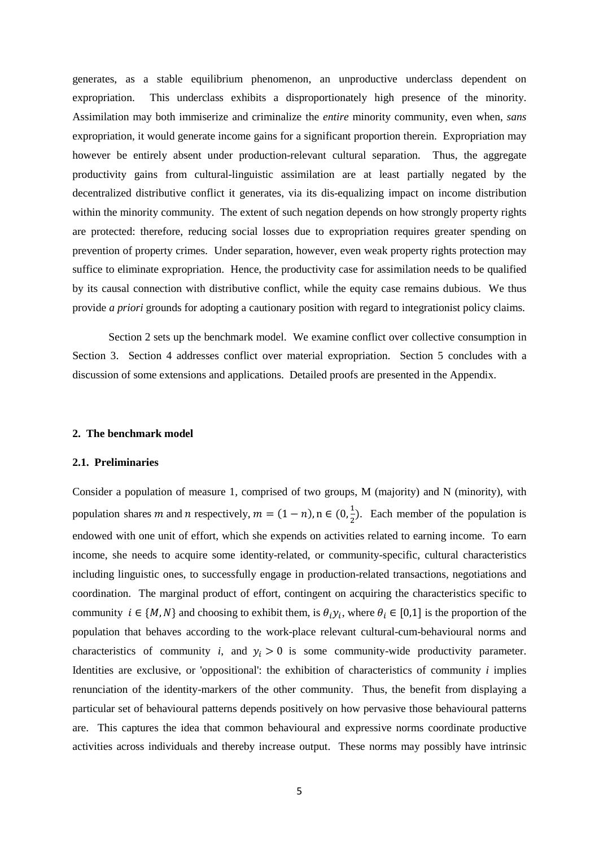generates, as a stable equilibrium phenomenon, an unproductive underclass dependent on expropriation. This underclass exhibits a disproportionately high presence of the minority. Assimilation may both immiserize and criminalize the *entire* minority community, even when, *sans* expropriation, it would generate income gains for a significant proportion therein. Expropriation may however be entirely absent under production-relevant cultural separation. Thus, the aggregate productivity gains from cultural-linguistic assimilation are at least partially negated by the decentralized distributive conflict it generates, via its dis-equalizing impact on income distribution within the minority community. The extent of such negation depends on how strongly property rights are protected: therefore, reducing social losses due to expropriation requires greater spending on prevention of property crimes. Under separation, however, even weak property rights protection may suffice to eliminate expropriation. Hence, the productivity case for assimilation needs to be qualified by its causal connection with distributive conflict, while the equity case remains dubious. We thus provide *a priori* grounds for adopting a cautionary position with regard to integrationist policy claims.

Section 2 sets up the benchmark model. We examine conflict over collective consumption in Section 3. Section 4 addresses conflict over material expropriation. Section 5 concludes with a discussion of some extensions and applications. Detailed proofs are presented in the Appendix.

#### **2. The benchmark model**

#### **2.1. Preliminaries**

Consider a population of measure 1, comprised of two groups, M (majority) and N (minority), with population shares *m* and *n* respectively,  $m = (1 - n)$ ,  $n \in (0, \frac{1}{2})$  $\frac{1}{2}$ ). Each member of the population is endowed with one unit of effort, which she expends on activities related to earning income. To earn income, she needs to acquire some identity-related, or community-specific, cultural characteristics including linguistic ones, to successfully engage in production-related transactions, negotiations and coordination. The marginal product of effort, contingent on acquiring the characteristics specific to community  $i \in \{M, N\}$  and choosing to exhibit them, is  $\theta_i y_i$ , where  $\theta_i \in [0,1]$  is the proportion of the population that behaves according to the work-place relevant cultural-cum-behavioural norms and characteristics of community *i*, and  $y_i > 0$  is some community-wide productivity parameter. Identities are exclusive, or 'oppositional': the exhibition of characteristics of community *i* implies renunciation of the identity-markers of the other community. Thus, the benefit from displaying a particular set of behavioural patterns depends positively on how pervasive those behavioural patterns are. This captures the idea that common behavioural and expressive norms coordinate productive activities across individuals and thereby increase output. These norms may possibly have intrinsic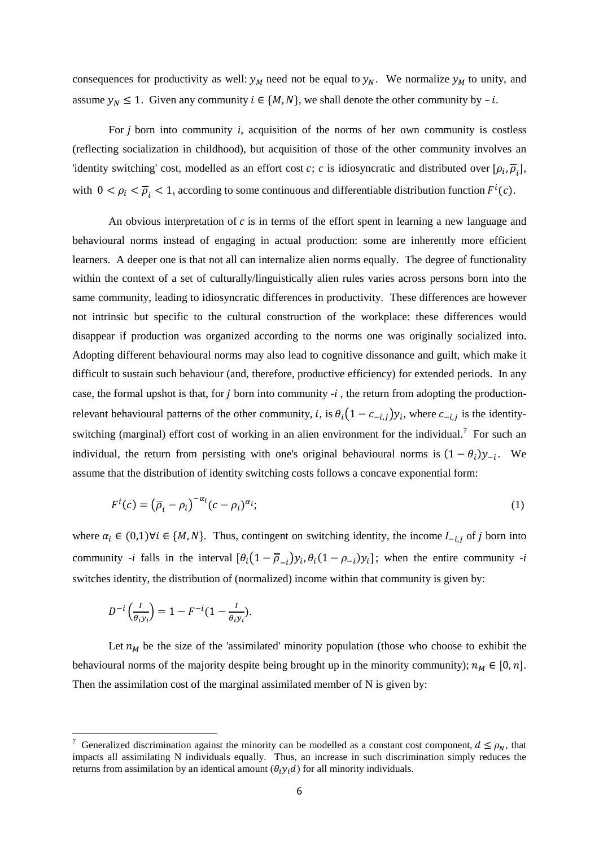consequences for productivity as well:  $y_M$  need not be equal to  $y_N$ . We normalize  $y_M$  to unity, and assume  $y_N \le 1$ . Given any community  $i \in \{M, N\}$ , we shall denote the other community by  $-i$ .

For *j* born into community *i*, acquisition of the norms of her own community is costless (reflecting socialization in childhood), but acquisition of those of the other community involves an 'identity switching' cost, modelled as an effort cost *c*; *c* is idiosyncratic and distributed over  $[\rho_i, \overline{\rho}_i]$ , with  $0 < \rho_i < \overline{\rho}_i < 1$ , according to some continuous and differentiable distribution function  $F^i(c)$ .

An obvious interpretation of  $c$  is in terms of the effort spent in learning a new language and behavioural norms instead of engaging in actual production: some are inherently more efficient learners. A deeper one is that not all can internalize alien norms equally. The degree of functionality within the context of a set of culturally/linguistically alien rules varies across persons born into the same community, leading to idiosyncratic differences in productivity. These differences are however not intrinsic but specific to the cultural construction of the workplace: these differences would disappear if production was organized according to the norms one was originally socialized into. Adopting different behavioural norms may also lead to cognitive dissonance and guilt, which make it difficult to sustain such behaviour (and, therefore, productive efficiency) for extended periods. In any case, the formal upshot is that, for  $j$  born into community  $-i$ , the return from adopting the productionrelevant behavioural patterns of the other community, *i*, is  $\theta_i(1 - c_{-i,j})y_i$ , where  $c_{-i,j}$  is the identity-switching (marginal) effort cost of working in an alien environment for the individual.<sup>[7](#page-6-0)</sup> For such an individual, the return from persisting with one's original behavioural norms is  $(1 - \theta_i)y_{-i}$ . We assume that the distribution of identity switching costs follows a concave exponential form:

$$
F^{i}(c) = (\overline{\rho}_{i} - \rho_{i})^{-\alpha_{i}}(c - \rho_{i})^{\alpha_{i}};
$$
\n(1)

where  $\alpha_i$  ∈ (0,1)∀ $i$  ∈ {*M*, *N*}. Thus, contingent on switching identity, the income  $I_{-i,j}$  of *j* born into community *-i* falls in the interval  $[\theta_i(1 - \overline{\rho}_{-i})y_i, \theta_i(1 - \rho_{-i})y_i]$ ; when the entire community *-i* switches identity, the distribution of (normalized) income within that community is given by:

$$
D^{-i}\left(\frac{l}{\theta_i y_i}\right) = 1 - F^{-i}(1 - \frac{l}{\theta_i y_i}).
$$

**.** 

Let  $n_M$  be the size of the 'assimilated' minority population (those who choose to exhibit the behavioural norms of the majority despite being brought up in the minority community);  $n_M \in [0, n]$ . Then the assimilation cost of the marginal assimilated member of N is given by:

<span id="page-8-0"></span><sup>7</sup> Generalized discrimination against the minority can be modelled as a constant cost component,  $d \leq \rho_N$ , that impacts all assimilating N individuals equally. Thus, an increase in such discrimination simply reduces the returns from assimilation by an identical amount  $(\theta_i y_i d)$  for all minority individuals.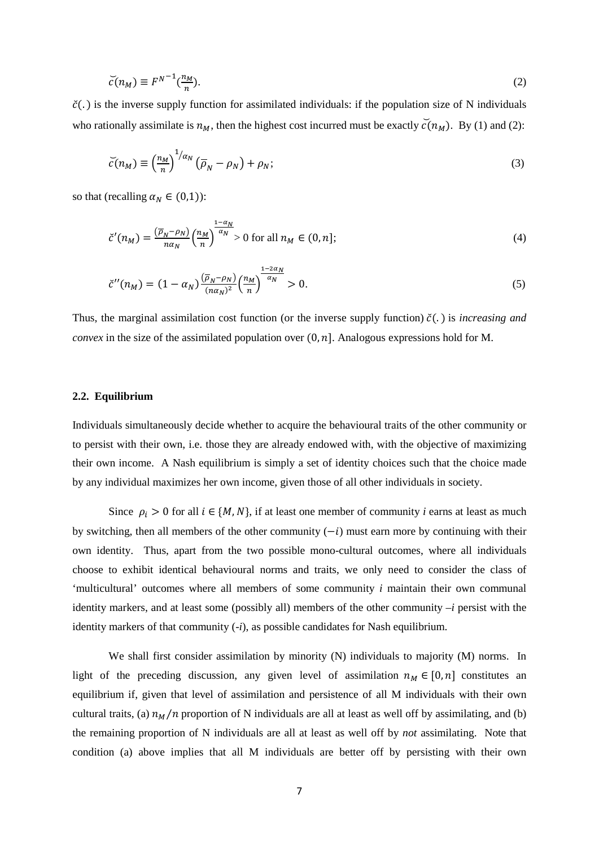$$
\breve{c}(n_M) \equiv F^{N-1}(\frac{n_M}{n}).
$$
\n(2)

 $\check{c}$ (.) is the inverse supply function for assimilated individuals: if the population size of N individuals who rationally assimilate is  $n_M$ , then the highest cost incurred must be exactly  $\bar{c}(n_M)$ . By (1) and (2):

$$
\breve{c}(n_M) \equiv \left(\frac{n_M}{n}\right)^{1/\alpha_N} \left(\overline{\rho}_N - \rho_N\right) + \rho_N; \tag{3}
$$

so that (recalling  $\alpha_N \in (0,1)$ ):

$$
\breve{c}'(n_M) = \frac{(\overline{\rho}_N - \rho_N)}{n\alpha_N} \left(\frac{n_M}{n}\right)^{\frac{1-\alpha_N}{\alpha_N}} > 0 \text{ for all } n_M \in (0, n];\tag{4}
$$

$$
\breve{c}^{\prime\prime}(n_M) = (1 - \alpha_N) \frac{(\overline{\rho}_N - \rho_N)}{(n\alpha_N)^2} \left(\frac{n_M}{n}\right)^{\frac{1 - 2\alpha_N}{\alpha_N}} > 0. \tag{5}
$$

Thus, the marginal assimilation cost function (or the inverse supply function)  $\check{c}$ (.) is *increasing and convex* in the size of the assimilated population over  $(0, n]$ . Analogous expressions hold for M.

#### **2.2. Equilibrium**

Individuals simultaneously decide whether to acquire the behavioural traits of the other community or to persist with their own, i.e. those they are already endowed with, with the objective of maximizing their own income. A Nash equilibrium is simply a set of identity choices such that the choice made by any individual maximizes her own income, given those of all other individuals in society.

Since  $\rho_i > 0$  for all  $i \in \{M, N\}$ , if at least one member of community *i* earns at least as much by switching, then all members of the other community  $(-i)$  must earn more by continuing with their own identity. Thus, apart from the two possible mono-cultural outcomes, where all individuals choose to exhibit identical behavioural norms and traits, we only need to consider the class of 'multicultural' outcomes where all members of some community *i* maintain their own communal identity markers, and at least some (possibly all) members of the other community –*i* persist with the identity markers of that community (-*i*), as possible candidates for Nash equilibrium.

We shall first consider assimilation by minority (N) individuals to majority (M) norms. In light of the preceding discussion, any given level of assimilation  $n_M \in [0, n]$  constitutes an equilibrium if, given that level of assimilation and persistence of all M individuals with their own cultural traits, (a)  $n_M/n$  proportion of N individuals are all at least as well off by assimilating, and (b) the remaining proportion of N individuals are all at least as well off by *not* assimilating. Note that condition (a) above implies that all M individuals are better off by persisting with their own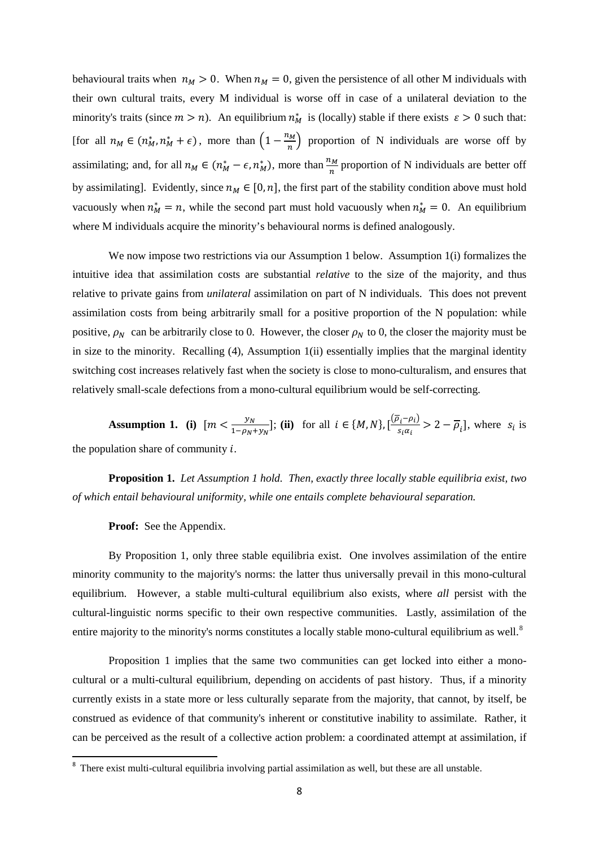behavioural traits when  $n_M > 0$ . When  $n_M = 0$ , given the persistence of all other M individuals with their own cultural traits, every M individual is worse off in case of a unilateral deviation to the minority's traits (since  $m > n$ ). An equilibrium  $n_M^*$  is (locally) stable if there exists  $\varepsilon > 0$  such that: [for all  $n_M \in (n_M^*, n_M^* + \epsilon)$ , more than  $\left(1 - \frac{n_M}{n}\right)$  proportion of N individuals are worse off by assimilating; and, for all  $n_M \in (n_M^* - \epsilon, n_M^*)$ , more than  $\frac{n_M}{n}$  proportion of N individuals are better off by assimilating]. Evidently, since  $n_M \in [0, n]$ , the first part of the stability condition above must hold vacuously when  $n_M^* = n$ , while the second part must hold vacuously when  $n_M^* = 0$ . An equilibrium where M individuals acquire the minority's behavioural norms is defined analogously.

We now impose two restrictions via our Assumption 1 below. Assumption 1(i) formalizes the intuitive idea that assimilation costs are substantial *relative* to the size of the majority, and thus relative to private gains from *unilateral* assimilation on part of N individuals. This does not prevent assimilation costs from being arbitrarily small for a positive proportion of the N population: while positive,  $\rho_N$  can be arbitrarily close to 0. However, the closer  $\rho_N$  to 0, the closer the majority must be in size to the minority. Recalling (4), Assumption 1(ii) essentially implies that the marginal identity switching cost increases relatively fast when the society is close to mono-culturalism, and ensures that relatively small-scale defections from a mono-cultural equilibrium would be self-correcting.

**Assumption 1.** (i)  $[m < \frac{y_N}{1-\rho_N+y_N}]$ ; (ii) for all  $i \in \{M, N\}$ ,  $[\frac{(\rho_i-\rho_i)}{s_i\alpha_i}]$  $\frac{r_i P_l}{s_i \alpha_i} > 2 - \overline{\rho}_i$ , where  $s_i$  is the population share of community  $i$ .

**Proposition 1.** *Let Assumption 1 hold. Then, exactly three locally stable equilibria exist, two of which entail behavioural uniformity, while one entails complete behavioural separation.* 

**Proof:** See the Appendix.

By Proposition 1, only three stable equilibria exist. One involves assimilation of the entire minority community to the majority's norms: the latter thus universally prevail in this mono-cultural equilibrium. However, a stable multi-cultural equilibrium also exists, where *all* persist with the cultural-linguistic norms specific to their own respective communities. Lastly, assimilation of the entire majority to the minority's norms constitutes a locally stable mono-cultural equilibrium as well.<sup>[8](#page-8-0)</sup>

Proposition 1 implies that the same two communities can get locked into either a monocultural or a multi-cultural equilibrium, depending on accidents of past history. Thus, if a minority currently exists in a state more or less culturally separate from the majority, that cannot, by itself, be construed as evidence of that community's inherent or constitutive inability to assimilate. Rather, it can be perceived as the result of a collective action problem: a coordinated attempt at assimilation, if

<span id="page-10-0"></span><sup>-&</sup>lt;br>8  $\overline{\text{B}}$  There exist multi-cultural equilibria involving partial assimilation as well, but these are all unstable.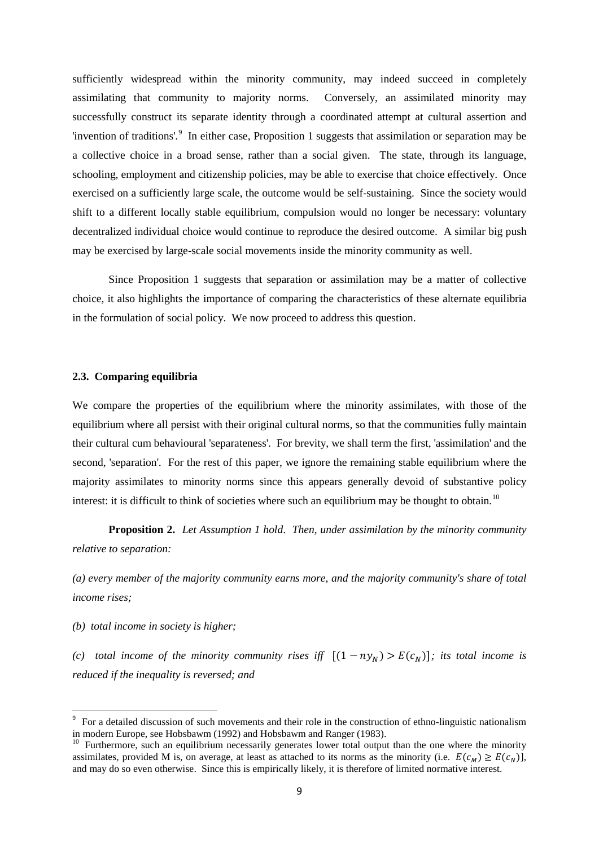sufficiently widespread within the minority community, may indeed succeed in completely assimilating that community to majority norms. Conversely, an assimilated minority may successfully construct its separate identity through a coordinated attempt at cultural assertion and 'invention of traditions'. [9](#page-10-0) In either case, Proposition 1 suggests that assimilation or separation may be a collective choice in a broad sense, rather than a social given. The state, through its language, schooling, employment and citizenship policies, may be able to exercise that choice effectively. Once exercised on a sufficiently large scale, the outcome would be self-sustaining. Since the society would shift to a different locally stable equilibrium, compulsion would no longer be necessary: voluntary decentralized individual choice would continue to reproduce the desired outcome. A similar big push may be exercised by large-scale social movements inside the minority community as well.

Since Proposition 1 suggests that separation or assimilation may be a matter of collective choice, it also highlights the importance of comparing the characteristics of these alternate equilibria in the formulation of social policy. We now proceed to address this question.

#### **2.3. Comparing equilibria**

We compare the properties of the equilibrium where the minority assimilates, with those of the equilibrium where all persist with their original cultural norms, so that the communities fully maintain their cultural cum behavioural 'separateness'. For brevity, we shall term the first, 'assimilation' and the second, 'separation'. For the rest of this paper, we ignore the remaining stable equilibrium where the majority assimilates to minority norms since this appears generally devoid of substantive policy interest: it is difficult to think of societies where such an equilibrium may be thought to obtain.<sup>[10](#page-11-0)</sup>

**Proposition 2.** *Let Assumption 1 hold*. *Then, under assimilation by the minority community relative to separation:*

*(a) every member of the majority community earns more, and the majority community's share of total income rises;* 

*(b) total income in society is higher;*

*(c)* total income of the minority community rises iff  $[(1 - ny_N) > E(c_N)]$ ; its total income is *reduced if the inequality is reversed; and*

<sup>-&</sup>lt;br>9 <sup>9</sup> For a detailed discussion of such movements and their role in the construction of ethno-linguistic nationalism in modern Europe, see Hobsbawm (1992) and Hobsbawm and Ranger (1983).

<span id="page-11-0"></span><sup>&</sup>lt;sup>10</sup> Furthermore, such an equilibrium necessarily generates lower total output than the one where the minority assimilates, provided M is, on average, at least as attached to its norms as the minority (i.e.  $E(c_M) \ge E(c_N)$ ), and may do so even otherwise. Since this is empirically likely, it is therefore of limited normative interest.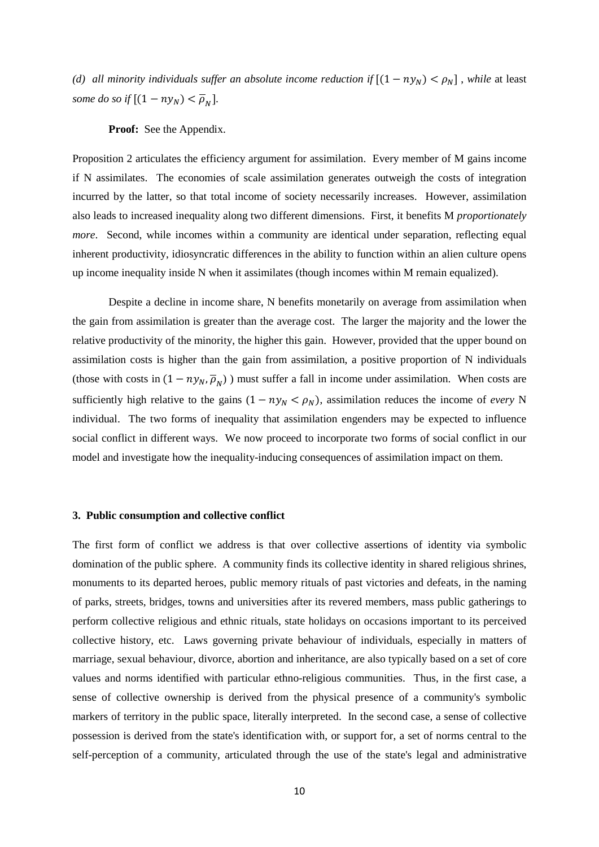*(d) all minority individuals suffer an absolute income reduction if*  $[(1 - ny_N) < \rho_N]$ , *while* at least *some do so if*  $[(1 - ny_N) < \overline{p}_N]$ .

**Proof:** See the Appendix.

Proposition 2 articulates the efficiency argument for assimilation. Every member of M gains income if N assimilates. The economies of scale assimilation generates outweigh the costs of integration incurred by the latter, so that total income of society necessarily increases. However, assimilation also leads to increased inequality along two different dimensions. First, it benefits M *proportionately more.* Second, while incomes within a community are identical under separation, reflecting equal inherent productivity, idiosyncratic differences in the ability to function within an alien culture opens up income inequality inside N when it assimilates (though incomes within M remain equalized).

Despite a decline in income share, N benefits monetarily on average from assimilation when the gain from assimilation is greater than the average cost. The larger the majority and the lower the relative productivity of the minority, the higher this gain. However, provided that the upper bound on assimilation costs is higher than the gain from assimilation, a positive proportion of N individuals (those with costs in  $(1 - ny_N, \overline{p}_N)$ ) must suffer a fall in income under assimilation. When costs are sufficiently high relative to the gains  $(1 - ny_N < \rho_N)$ , assimilation reduces the income of *every* N individual. The two forms of inequality that assimilation engenders may be expected to influence social conflict in different ways. We now proceed to incorporate two forms of social conflict in our model and investigate how the inequality-inducing consequences of assimilation impact on them.

#### **3. Public consumption and collective conflict**

The first form of conflict we address is that over collective assertions of identity via symbolic domination of the public sphere. A community finds its collective identity in shared religious shrines, monuments to its departed heroes, public memory rituals of past victories and defeats, in the naming of parks, streets, bridges, towns and universities after its revered members, mass public gatherings to perform collective religious and ethnic rituals, state holidays on occasions important to its perceived collective history, etc. Laws governing private behaviour of individuals, especially in matters of marriage, sexual behaviour, divorce, abortion and inheritance, are also typically based on a set of core values and norms identified with particular ethno-religious communities. Thus, in the first case, a sense of collective ownership is derived from the physical presence of a community's symbolic markers of territory in the public space, literally interpreted. In the second case, a sense of collective possession is derived from the state's identification with, or support for, a set of norms central to the self-perception of a community, articulated through the use of the state's legal and administrative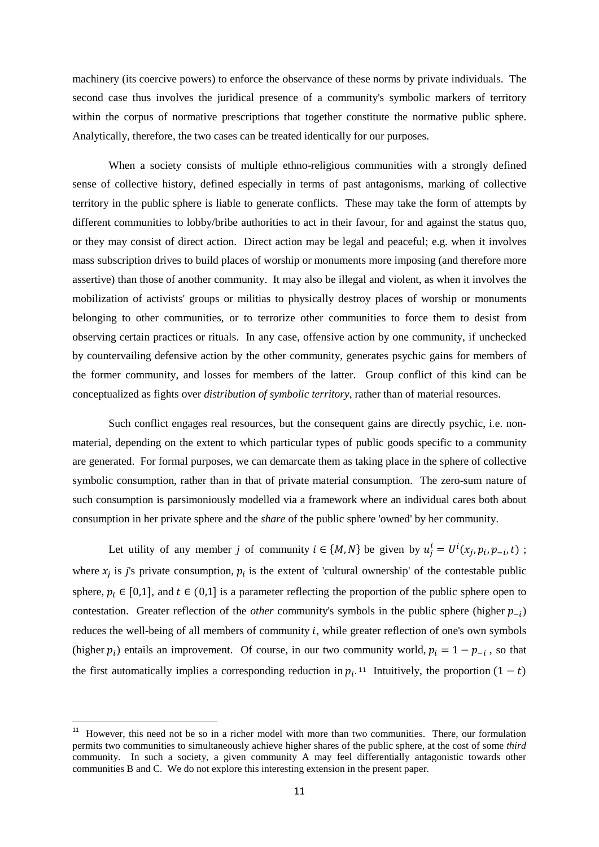machinery (its coercive powers) to enforce the observance of these norms by private individuals. The second case thus involves the juridical presence of a community's symbolic markers of territory within the corpus of normative prescriptions that together constitute the normative public sphere. Analytically, therefore, the two cases can be treated identically for our purposes.

When a society consists of multiple ethno-religious communities with a strongly defined sense of collective history, defined especially in terms of past antagonisms, marking of collective territory in the public sphere is liable to generate conflicts. These may take the form of attempts by different communities to lobby/bribe authorities to act in their favour, for and against the status quo, or they may consist of direct action. Direct action may be legal and peaceful; e.g. when it involves mass subscription drives to build places of worship or monuments more imposing (and therefore more assertive) than those of another community. It may also be illegal and violent, as when it involves the mobilization of activists' groups or militias to physically destroy places of worship or monuments belonging to other communities, or to terrorize other communities to force them to desist from observing certain practices or rituals. In any case, offensive action by one community, if unchecked by countervailing defensive action by the other community, generates psychic gains for members of the former community, and losses for members of the latter. Group conflict of this kind can be conceptualized as fights over *distribution of symbolic territory*, rather than of material resources.

Such conflict engages real resources, but the consequent gains are directly psychic, i.e. nonmaterial, depending on the extent to which particular types of public goods specific to a community are generated. For formal purposes, we can demarcate them as taking place in the sphere of collective symbolic consumption, rather than in that of private material consumption. The zero-sum nature of such consumption is parsimoniously modelled via a framework where an individual cares both about consumption in her private sphere and the *share* of the public sphere 'owned' by her community.

Let utility of any member *j* of community  $i \in \{M, N\}$  be given by  $u_j^i = U^i(x_j, p_i, p_{-i}, t)$ ; where  $x_i$  is *j*'s private consumption,  $p_i$  is the extent of 'cultural ownership' of the contestable public sphere,  $p_i \in [0,1]$ , and  $t \in (0,1]$  is a parameter reflecting the proportion of the public sphere open to contestation. Greater reflection of the *other* community's symbols in the public sphere (higher  $p_{-i}$ ) reduces the well-being of all members of community  $i$ , while greater reflection of one's own symbols (higher  $p_i$ ) entails an improvement. Of course, in our two community world,  $p_i = 1 - p_{-i}$ , so that the first automatically implies a corresponding reduction in  $p_i$ . <sup>11</sup> Intuitively, the proportion  $(1-t)$ 

<span id="page-13-0"></span> $11$  However, this need not be so in a richer model with more than two communities. There, our formulation permits two communities to simultaneously achieve higher shares of the public sphere, at the cost of some *third* community. In such a society, a given community A may feel differentially antagonistic towards other communities B and C. We do not explore this interesting extension in the present paper.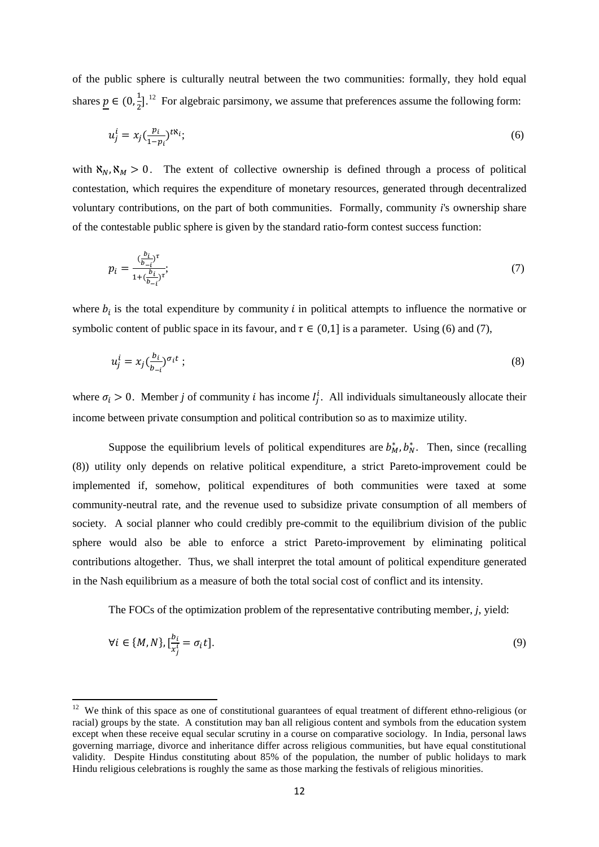of the public sphere is culturally neutral between the two communities: formally, they hold equal shares  $\underline{p} \in (0, \frac{1}{2})$  $\frac{1}{2}$ ].<sup>12</sup> For algebraic parsimony, we assume that preferences assume the following form:

$$
u_j^i = x_j \left(\frac{p_i}{1 - p_i}\right)^{t \aleph_i};\tag{6}
$$

with  $\aleph_N$ ,  $\aleph_M > 0$ . The extent of collective ownership is defined through a process of political contestation, which requires the expenditure of monetary resources, generated through decentralized voluntary contributions, on the part of both communities. Formally, community *i*'s ownership share of the contestable public sphere is given by the standard ratio-form contest success function:

$$
p_i = \frac{\binom{b_i}{b_{-i}}^{\tau}}{1 + \binom{b_i}{b_{-i}}^{\tau}};
$$
\n(7)

where  $b_i$  is the total expenditure by community *i* in political attempts to influence the normative or symbolic content of public space in its favour, and  $\tau \in (0,1]$  is a parameter. Using (6) and (7),

$$
u_j^i = x_j \left(\frac{b_i}{b_{-i}}\right)^{\sigma_i t} \tag{8}
$$

where  $\sigma_i > 0$ . Member *j* of community *i* has income  $I_j^l$ . All individuals simultaneously allocate their income between private consumption and political contribution so as to maximize utility.

Suppose the equilibrium levels of political expenditures are  $b_M^*, b_N^*$ . Then, since (recalling (8)) utility only depends on relative political expenditure, a strict Pareto-improvement could be implemented if, somehow, political expenditures of both communities were taxed at some community-neutral rate*,* and the revenue used to subsidize private consumption of all members of society. A social planner who could credibly pre-commit to the equilibrium division of the public sphere would also be able to enforce a strict Pareto-improvement by eliminating political contributions altogether. Thus, we shall interpret the total amount of political expenditure generated in the Nash equilibrium as a measure of both the total social cost of conflict and its intensity.

The FOCs of the optimization problem of the representative contributing member, *j*, yield:

$$
\forall i \in \{M, N\}, \left[\frac{b_i}{x_j^i} = \sigma_i t\right].\tag{9}
$$

<span id="page-14-0"></span><sup>&</sup>lt;sup>12</sup> We think of this space as one of constitutional guarantees of equal treatment of different ethno-religious (or racial) groups by the state. A constitution may ban all religious content and symbols from the education system except when these receive equal secular scrutiny in a course on comparative sociology. In India, personal laws governing marriage, divorce and inheritance differ across religious communities, but have equal constitutional validity. Despite Hindus constituting about 85% of the population, the number of public holidays to mark Hindu religious celebrations is roughly the same as those marking the festivals of religious minorities.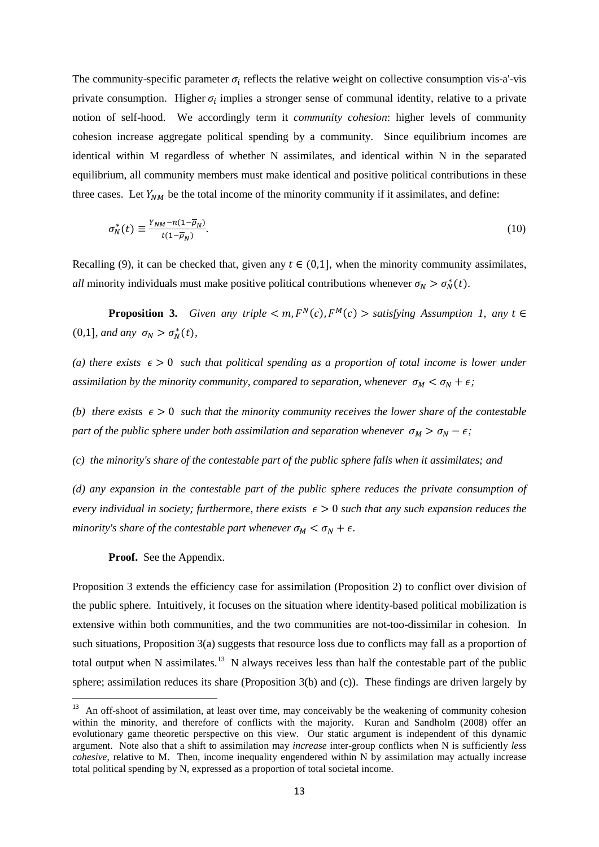The community-specific parameter  $\sigma_i$  reflects the relative weight on collective consumption vis-a'-vis private consumption. Higher  $\sigma_i$  implies a stronger sense of communal identity, relative to a private notion of self-hood. We accordingly term it *community cohesion*: higher levels of community cohesion increase aggregate political spending by a community. Since equilibrium incomes are identical within M regardless of whether N assimilates, and identical within N in the separated equilibrium, all community members must make identical and positive political contributions in these three cases. Let  $Y_{NM}$  be the total income of the minority community if it assimilates, and define:

$$
\sigma_N^*(t) \equiv \frac{Y_{NM} - n(1 - \overline{\rho}_N)}{t(1 - \overline{\rho}_N)}.\tag{10}
$$

Recalling (9), it can be checked that, given any  $t \in (0,1]$ , when the minority community assimilates, *all* minority individuals must make positive political contributions whenever  $\sigma_N > \sigma_N^*(t)$ .

**Proposition 3.** *Given any triple*  $\lt m, F^N(c)$ ,  $F^M(c)$  > *satisfying Assumption 1, any t*  $\in$  $(0,1]$ *, and any*  $\sigma_N > \sigma_N^*(t)$ *,* 

(a) there exists  $\epsilon > 0$  such that political spending as a proportion of total income is lower under *assimilation by the minority community, compared to separation, whenever*  $\sigma_M < \sigma_N + \epsilon$ ;

*(b) there exists*  $\epsilon > 0$  *such that the minority community receives the lower share of the contestable part of the public sphere under both assimilation and separation whenever*  $\sigma_M > \sigma_N - \epsilon$ ;

*(c) the minority's share of the contestable part of the public sphere falls when it assimilates; and*

*(d) any expansion in the contestable part of the public sphere reduces the private consumption of every individual in society; furthermore, there exists*  $\epsilon > 0$  *such that any such expansion reduces the minority's share of the contestable part whenever*  $\sigma_M < \sigma_N + \epsilon$ .

#### **Proof.** See the Appendix.

Proposition 3 extends the efficiency case for assimilation (Proposition 2) to conflict over division of the public sphere. Intuitively, it focuses on the situation where identity-based political mobilization is extensive within both communities, and the two communities are not-too-dissimilar in cohesion. In such situations, Proposition 3(a) suggests that resource loss due to conflicts may fall as a proportion of total output when N assimilates.<sup>[13](#page-14-0)</sup> N always receives less than half the contestable part of the public sphere; assimilation reduces its share (Proposition 3(b) and (c)). These findings are driven largely by

<span id="page-15-0"></span><sup>&</sup>lt;sup>13</sup> An off-shoot of assimilation, at least over time, may conceivably be the weakening of community cohesion within the minority, and therefore of conflicts with the majority. Kuran and Sandholm (2008) offer an evolutionary game theoretic perspective on this view. Our static argument is independent of this dynamic argument. Note also that a shift to assimilation may *increase* inter-group conflicts when N is sufficiently *less cohesive*, relative to M. Then, income inequality engendered within N by assimilation may actually increase total political spending by N, expressed as a proportion of total societal income.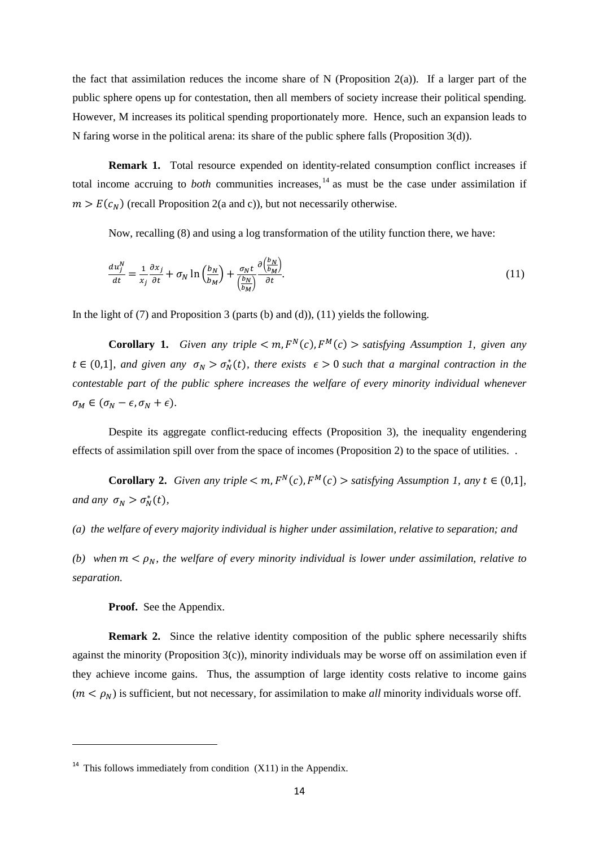the fact that assimilation reduces the income share of N (Proposition 2(a)). If a larger part of the public sphere opens up for contestation, then all members of society increase their political spending. However, M increases its political spending proportionately more. Hence, such an expansion leads to N faring worse in the political arena: its share of the public sphere falls (Proposition 3(d)).

**Remark 1.** Total resource expended on identity-related consumption conflict increases if total income accruing to *both* communities increases,  $14$  as must be the case under assimilation if  $m > E(c_N)$  (recall Proposition 2(a and c)), but not necessarily otherwise.

Now, recalling (8) and using a log transformation of the utility function there, we have:

$$
\frac{du_j^N}{dt} = \frac{1}{x_j} \frac{\partial x_j}{\partial t} + \sigma_N \ln \left( \frac{b_N}{b_M} \right) + \frac{\sigma_N t}{\left( \frac{b_N}{b_M} \right)} \frac{\partial \left( \frac{b_N}{b_M} \right)}{\partial t}.
$$
\n(11)

In the light of  $(7)$  and Proposition 3 (parts  $(b)$  and  $(d)$ ),  $(11)$  yields the following.

**Corollary 1.** *Given any triple*  $\lt m, F^N(c), F^M(c) >$  *satisfying Assumption 1, given any*  $t \in (0,1]$ , and given any  $\sigma_N > \sigma_N^*(t)$ , there exists  $\epsilon > 0$  such that a marginal contraction in the *contestable part of the public sphere increases the welfare of every minority individual whenever*   $\sigma_M \in (\sigma_N - \epsilon, \sigma_N + \epsilon).$ 

Despite its aggregate conflict-reducing effects (Proposition 3), the inequality engendering effects of assimilation spill over from the space of incomes (Proposition 2) to the space of utilities. .

**Corollary 2.** *Given any triple*  $\lt m, F^N(c), F^M(c) >$  *satisfying Assumption 1, any t*  $\in (0,1]$ *, and any*  $\sigma_N > \sigma_N^*(t)$ ,

*(a) the welfare of every majority individual is higher under assimilation, relative to separation; and*

*(b)* when  $m < \rho_N$ , the welfare of every minority individual is lower under assimilation, relative to *separation.* 

 **Proof.** See the Appendix.

<span id="page-16-0"></span> $\overline{a}$ 

**Remark 2.** Since the relative identity composition of the public sphere necessarily shifts against the minority (Proposition  $3(c)$ ), minority individuals may be worse off on assimilation even if they achieve income gains. Thus, the assumption of large identity costs relative to income gains  $(m < \rho_N)$  is sufficient, but not necessary, for assimilation to make *all* minority individuals worse off.

<sup>&</sup>lt;sup>14</sup> This follows immediately from condition  $(X11)$  in the Appendix.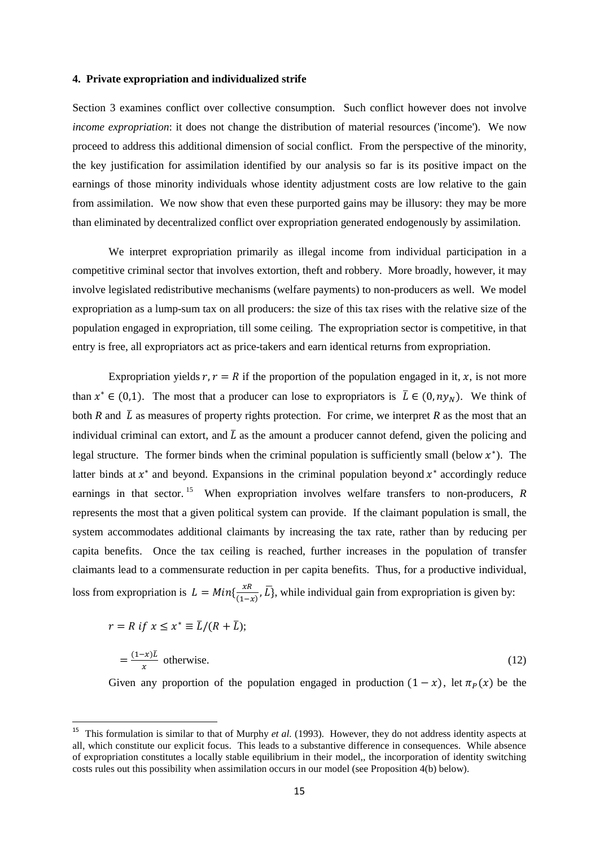#### **4. Private expropriation and individualized strife**

Section 3 examines conflict over collective consumption. Such conflict however does not involve *income expropriation*: it does not change the distribution of material resources ('income'). We now proceed to address this additional dimension of social conflict. From the perspective of the minority, the key justification for assimilation identified by our analysis so far is its positive impact on the earnings of those minority individuals whose identity adjustment costs are low relative to the gain from assimilation. We now show that even these purported gains may be illusory: they may be more than eliminated by decentralized conflict over expropriation generated endogenously by assimilation.

We interpret expropriation primarily as illegal income from individual participation in a competitive criminal sector that involves extortion, theft and robbery. More broadly, however, it may involve legislated redistributive mechanisms (welfare payments) to non-producers as well. We model expropriation as a lump-sum tax on all producers: the size of this tax rises with the relative size of the population engaged in expropriation, till some ceiling. The expropriation sector is competitive, in that entry is free, all expropriators act as price-takers and earn identical returns from expropriation.

Expropriation yields  $r, r = R$  if the proportion of the population engaged in it, x, is not more than  $x^* \in (0,1)$ . The most that a producer can lose to expropriators is  $\overline{L} \in (0, n y_N)$ . We think of both *R* and  $\bar{L}$  as measures of property rights protection. For crime, we interpret *R* as the most that an individual criminal can extort, and  $\bar{L}$  as the amount a producer cannot defend, given the policing and legal structure. The former binds when the criminal population is sufficiently small (below  $x^*$ ). The latter binds at  $x^*$  and beyond. Expansions in the criminal population beyond  $x^*$  accordingly reduce earnings in that sector.<sup>[15](#page-16-0)</sup> When expropriation involves welfare transfers to non-producers, *R* represents the most that a given political system can provide. If the claimant population is small, the system accommodates additional claimants by increasing the tax rate, rather than by reducing per capita benefits. Once the tax ceiling is reached, further increases in the population of transfer claimants lead to a commensurate reduction in per capita benefits. Thus, for a productive individual, loss from expropriation is  $L = Min\{\frac{xR}{(1-x)}, \overline{L}\}$ , while individual gain from expropriation is given by:

<span id="page-17-0"></span>
$$
r = R \text{ if } x \le x^* \equiv \overline{L}/(R + \overline{L});
$$
  
=  $\frac{(1-x)\overline{L}}{x}$  otherwise. (12)

Given any proportion of the population engaged in production  $(1 - x)$ , let  $\pi<sub>P</sub>(x)$  be the

<sup>&</sup>lt;sup>15</sup> This formulation is similar to that of Murphy *et al.* (1993). However, they do not address identity aspects at all, which constitute our explicit focus. This leads to a substantive difference in consequences. While absence of expropriation constitutes a locally stable equilibrium in their model,, the incorporation of identity switching costs rules out this possibility when assimilation occurs in our model (see Proposition 4(b) below).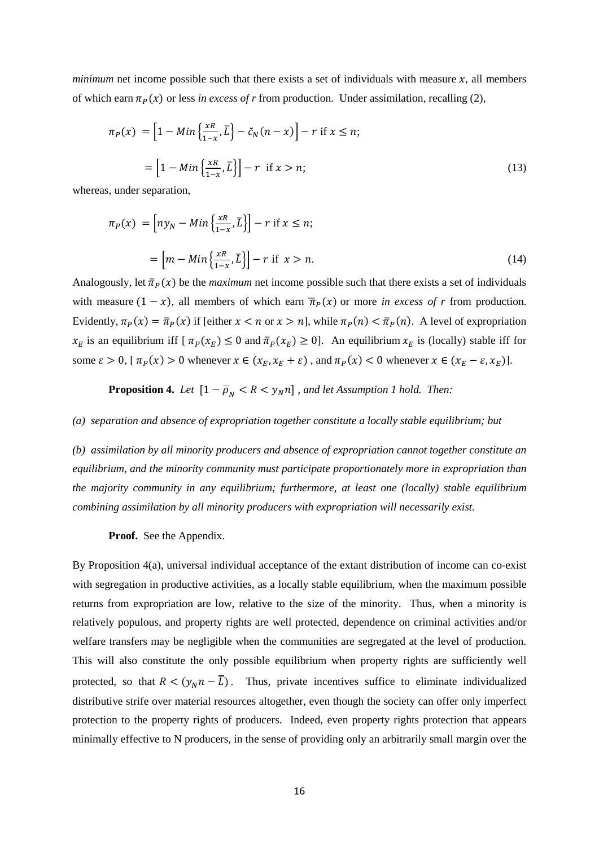*minimum* net income possible such that there exists a set of individuals with measure  $x$ , all members of which earn  $\pi<sub>P</sub>(x)$  or less *in excess of r* from production. Under assimilation, recalling (2),

$$
\pi_P(x) = \left[1 - \operatorname{Min}\left\{\frac{xR}{1-x}, \overline{L}\right\} - \check{c}_N(n-x)\right] - r \text{ if } x \le n;
$$

$$
= \left[1 - \operatorname{Min}\left\{\frac{xR}{1-x}, \overline{L}\right\}\right] - r \text{ if } x > n;
$$
(13)

whereas, under separation,

$$
\pi_P(x) = \left[ n y_N - Min \left\{ \frac{xR}{1-x}, \overline{L} \right\} \right] - r \text{ if } x \le n;
$$

$$
= \left[ m - Min \left\{ \frac{xR}{1-x}, \overline{L} \right\} \right] - r \text{ if } x > n.
$$
 (14)

Analogously, let  $\bar{\pi}_P(x)$  be the *maximum* net income possible such that there exists a set of individuals with measure  $(1 - x)$ , all members of which earn  $\overline{\pi}_P(x)$  or more *in excess of r* from production. Evidently,  $\pi_P(x) = \bar{\pi}_P(x)$  if [either  $x < n$  or  $x > n$ ], while  $\pi_P(n) < \bar{\pi}_P(n)$ . A level of expropriation  $x_E$  is an equilibrium iff  $[\pi_P(x_E) \leq 0$  and  $\overline{\pi}_P(x_E) \geq 0]$ . An equilibrium  $x_E$  is (locally) stable iff for some  $\varepsilon > 0$ ,  $[\pi_P(x) > 0$  whenever  $x \in (x_E, x_E + \varepsilon)$ , and  $\pi_P(x) < 0$  whenever  $x \in (x_E - \varepsilon, x_E)$ .

#### **Proposition 4.** *Let*  $\left[1 - \overline{\rho}_N < R < y_N n\right]$ , and let Assumption 1 hold. Then:

#### *(a) separation and absence of expropriation together constitute a locally stable equilibrium; but*

*(b) assimilation by all minority producers and absence of expropriation cannot together constitute an equilibrium, and the minority community must participate proportionately more in expropriation than the majority community in any equilibrium; furthermore, at least one (locally) stable equilibrium combining assimilation by all minority producers with expropriation will necessarily exist.*

#### **Proof.** See the Appendix.

By Proposition 4(a), universal individual acceptance of the extant distribution of income can co-exist with segregation in productive activities, as a locally stable equilibrium, when the maximum possible returns from expropriation are low, relative to the size of the minority. Thus, when a minority is relatively populous, and property rights are well protected, dependence on criminal activities and/or welfare transfers may be negligible when the communities are segregated at the level of production. This will also constitute the only possible equilibrium when property rights are sufficiently well protected, so that  $R < (y_N n - \overline{L})$ . Thus, private incentives suffice to eliminate individualized distributive strife over material resources altogether, even though the society can offer only imperfect protection to the property rights of producers. Indeed, even property rights protection that appears minimally effective to N producers, in the sense of providing only an arbitrarily small margin over the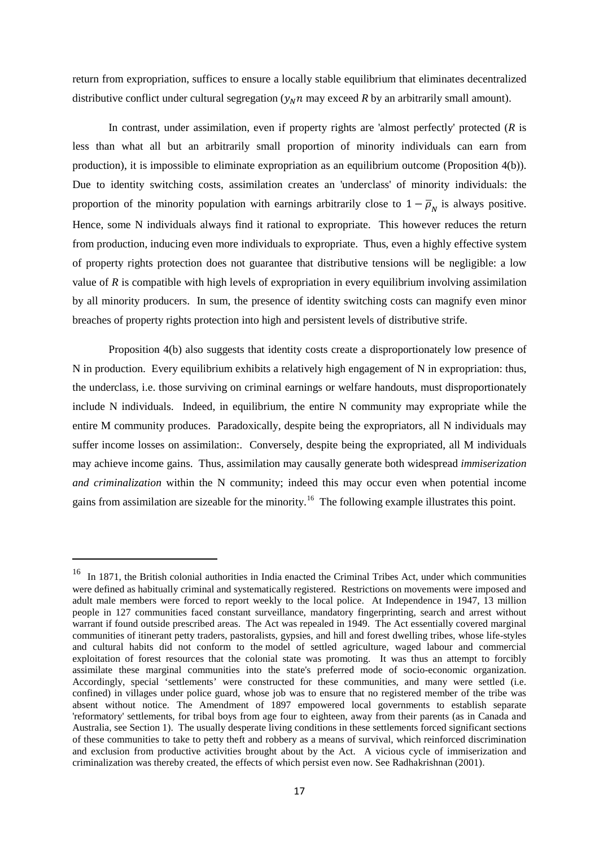return from expropriation, suffices to ensure a locally stable equilibrium that eliminates decentralized distributive conflict under cultural segregation  $(y_N n$  may exceed *R* by an arbitrarily small amount).

In contrast, under assimilation, even if property rights are 'almost perfectly' protected (*R* is less than what all but an arbitrarily small proportion of minority individuals can earn from production), it is impossible to eliminate expropriation as an equilibrium outcome (Proposition 4(b)). Due to identity switching costs, assimilation creates an 'underclass' of minority individuals: the proportion of the minority population with earnings arbitrarily close to  $1 - \overline{\rho}_N$  is always positive. Hence, some N individuals always find it rational to expropriate. This however reduces the return from production, inducing even more individuals to expropriate. Thus, even a highly effective system of property rights protection does not guarantee that distributive tensions will be negligible: a low value of *R* is compatible with high levels of expropriation in every equilibrium involving assimilation by all minority producers. In sum, the presence of identity switching costs can magnify even minor breaches of property rights protection into high and persistent levels of distributive strife.

Proposition 4(b) also suggests that identity costs create a disproportionately low presence of N in production. Every equilibrium exhibits a relatively high engagement of N in expropriation: thus, the underclass, i.e. those surviving on criminal earnings or welfare handouts, must disproportionately include N individuals. Indeed, in equilibrium, the entire N community may expropriate while the entire M community produces. Paradoxically, despite being the expropriators, all N individuals may suffer income losses on assimilation:. Conversely, despite being the expropriated, all M individuals may achieve income gains. Thus, assimilation may causally generate both widespread *immiserization and criminalization* within the N community; indeed this may occur even when potential income gains from assimilation are sizeable for the minority.<sup>[16](#page-17-0)</sup> The following example illustrates this point.

 $\overline{a}$ 

<span id="page-19-0"></span><sup>&</sup>lt;sup>16</sup> In 1871, the British colonial authorities in India enacted the Criminal Tribes Act, under which communities were defined as habitually criminal and systematically registered. Restrictions on movements were imposed and adult male members were forced to report weekly to the local police. At Independence in 1947, 13 million people in 127 communities faced constant surveillance, mandatory fingerprinting, search and arrest without warrant if found outside prescribed areas. The Act was repealed in 1949. The Act essentially covered marginal communities of itinerant petty traders, pastoralists, gypsies, and hill and forest dwelling tribes, whose life-styles and cultural habits did not conform to the model of settled agriculture, waged labour and commercial exploitation of forest resources that the colonial state was promoting. It was thus an attempt to forcibly assimilate these marginal communities into the state's preferred mode of socio-economic organization. Accordingly, special 'settlements' were constructed for these communities, and many were settled (i.e. confined) in villages under police guard, whose job was to ensure that no registered member of the tribe was absent without notice. The Amendment of 1897 empowered local governments to establish separate 'reformatory' settlements, for tribal boys from age four to eighteen, away from their parents (as in Canada and Australia, see Section 1). The usually desperate living conditions in these settlements forced significant sections of these communities to take to petty theft and robbery as a means of survival, which reinforced discrimination and exclusion from productive activities brought about by the Act. A vicious cycle of immiserization and criminalization was thereby created, the effects of which persist even now. See Radhakrishnan (2001).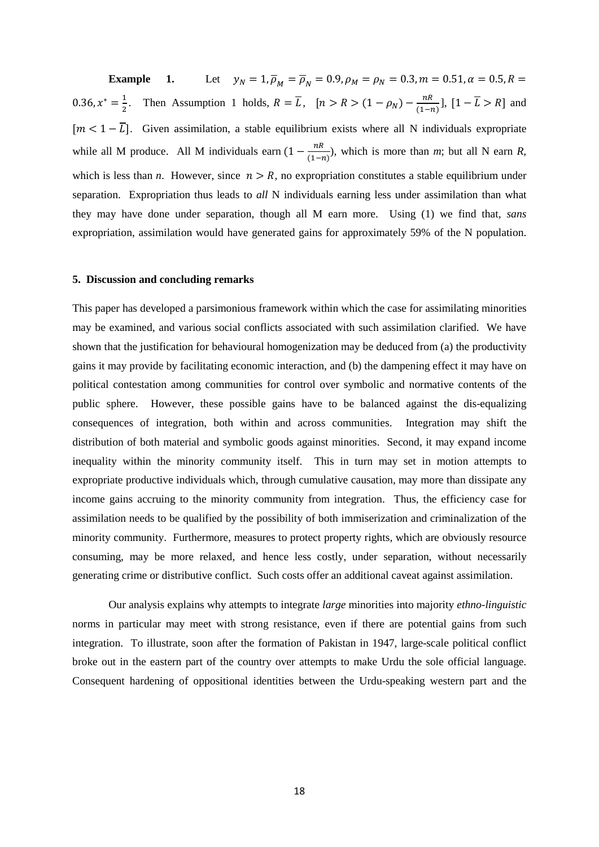**Example** 1. Let  $y_N = 1$ ,  $\overline{p}_M = \overline{p}_N = 0.9$ ,  $\rho_M = \rho_N = 0.3$ ,  $m = 0.51$ ,  $\alpha = 0.5$ ,  $R =$ 0.36,  $x^* = \frac{1}{2}$ . Then Assumption 1 holds,  $R = \overline{L}$ ,  $[n > R > (1 - \rho_N) - \frac{nR}{(1-n)}]$ ,  $[1 - \overline{L} > R]$  and [ $m < 1 - \overline{L}$ ]. Given assimilation, a stable equilibrium exists where all N individuals expropriate while all M produce. All M individuals earn  $(1 - \frac{nk}{(1-n)})$ , which is more than *m*; but all N earn *R*, which is less than *n*. However, since  $n > R$ , no expropriation constitutes a stable equilibrium under separation. Expropriation thus leads to *all* N individuals earning less under assimilation than what they may have done under separation, though all M earn more. Using (1) we find that, *sans* expropriation, assimilation would have generated gains for approximately 59% of the N population.

#### **5. Discussion and concluding remarks**

This paper has developed a parsimonious framework within which the case for assimilating minorities may be examined, and various social conflicts associated with such assimilation clarified. We have shown that the justification for behavioural homogenization may be deduced from (a) the productivity gains it may provide by facilitating economic interaction, and (b) the dampening effect it may have on political contestation among communities for control over symbolic and normative contents of the public sphere. However, these possible gains have to be balanced against the dis-equalizing consequences of integration, both within and across communities. Integration may shift the distribution of both material and symbolic goods against minorities. Second, it may expand income inequality within the minority community itself. This in turn may set in motion attempts to expropriate productive individuals which, through cumulative causation, may more than dissipate any income gains accruing to the minority community from integration. Thus, the efficiency case for assimilation needs to be qualified by the possibility of both immiserization and criminalization of the minority community. Furthermore, measures to protect property rights, which are obviously resource consuming, may be more relaxed, and hence less costly, under separation, without necessarily generating crime or distributive conflict. Such costs offer an additional caveat against assimilation.

Our analysis explains why attempts to integrate *large* minorities into majority *ethno-linguistic* norms in particular may meet with strong resistance, even if there are potential gains from such integration. To illustrate, soon after the formation of Pakistan in 1947, large-scale political conflict broke out in the eastern part of the country over attempts to make Urdu the sole official language. Consequent hardening of oppositional identities between the Urdu-speaking western part and the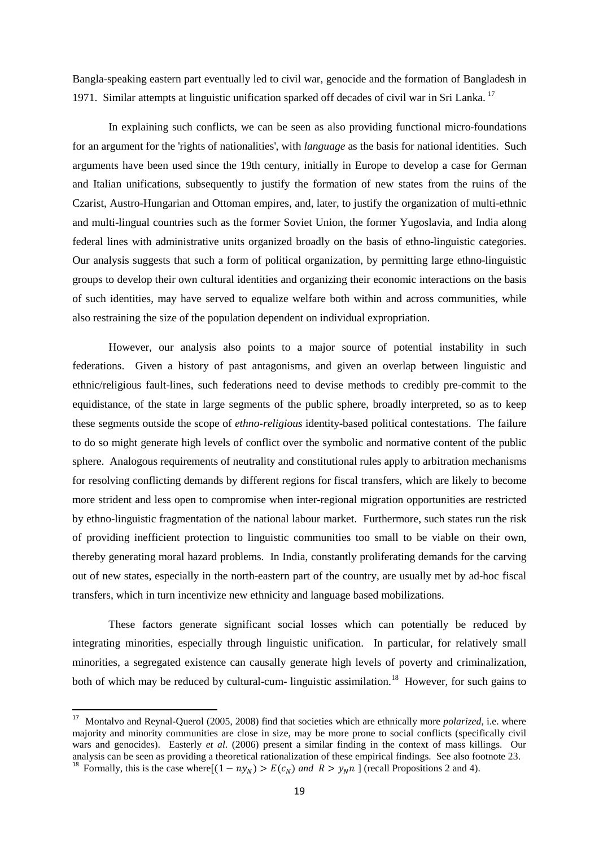Bangla-speaking eastern part eventually led to civil war, genocide and the formation of Bangladesh in 1971. Similar attempts at linguistic unification sparked off decades of civil war in Sri Lanka. [17](#page-19-0)

In explaining such conflicts, we can be seen as also providing functional micro-foundations for an argument for the 'rights of nationalities', with *language* as the basis for national identities. Such arguments have been used since the 19th century, initially in Europe to develop a case for German and Italian unifications, subsequently to justify the formation of new states from the ruins of the Czarist, Austro-Hungarian and Ottoman empires, and, later, to justify the organization of multi-ethnic and multi-lingual countries such as the former Soviet Union, the former Yugoslavia, and India along federal lines with administrative units organized broadly on the basis of ethno-linguistic categories. Our analysis suggests that such a form of political organization, by permitting large ethno-linguistic groups to develop their own cultural identities and organizing their economic interactions on the basis of such identities, may have served to equalize welfare both within and across communities, while also restraining the size of the population dependent on individual expropriation.

However, our analysis also points to a major source of potential instability in such federations. Given a history of past antagonisms, and given an overlap between linguistic and ethnic/religious fault-lines, such federations need to devise methods to credibly pre-commit to the equidistance, of the state in large segments of the public sphere, broadly interpreted, so as to keep these segments outside the scope of *ethno-religious* identity-based political contestations. The failure to do so might generate high levels of conflict over the symbolic and normative content of the public sphere. Analogous requirements of neutrality and constitutional rules apply to arbitration mechanisms for resolving conflicting demands by different regions for fiscal transfers, which are likely to become more strident and less open to compromise when inter-regional migration opportunities are restricted by ethno-linguistic fragmentation of the national labour market. Furthermore, such states run the risk of providing inefficient protection to linguistic communities too small to be viable on their own, thereby generating moral hazard problems. In India, constantly proliferating demands for the carving out of new states, especially in the north-eastern part of the country, are usually met by ad-hoc fiscal transfers, which in turn incentivize new ethnicity and language based mobilizations.

These factors generate significant social losses which can potentially be reduced by integrating minorities, especially through linguistic unification. In particular, for relatively small minorities, a segregated existence can causally generate high levels of poverty and criminalization, both of which may be reduced by cultural-cum- linguistic assimilation.<sup>[18](#page-21-0)</sup> However, for such gains to

<span id="page-21-1"></span> <sup>17</sup> Montalvo and Reynal-Querol (2005, 2008) find that societies which are ethnically more *polarized*, i.e. where majority and minority communities are close in size, may be more prone to social conflicts (specifically civil wars and genocides). Easterly *et al.* (2006) present a similar finding in the context of mass killings. Our analysis can be seen as providing a theoretical rationalization of these empirical findings. See also footnote 23

<span id="page-21-0"></span><sup>&</sup>lt;sup>18</sup> Formally, this is the case where[ $(1 - ny<sub>N</sub>)$  >  $E(c<sub>N</sub>)$  and  $R > y<sub>N</sub>n$  ] (recall Propositions 2 and 4).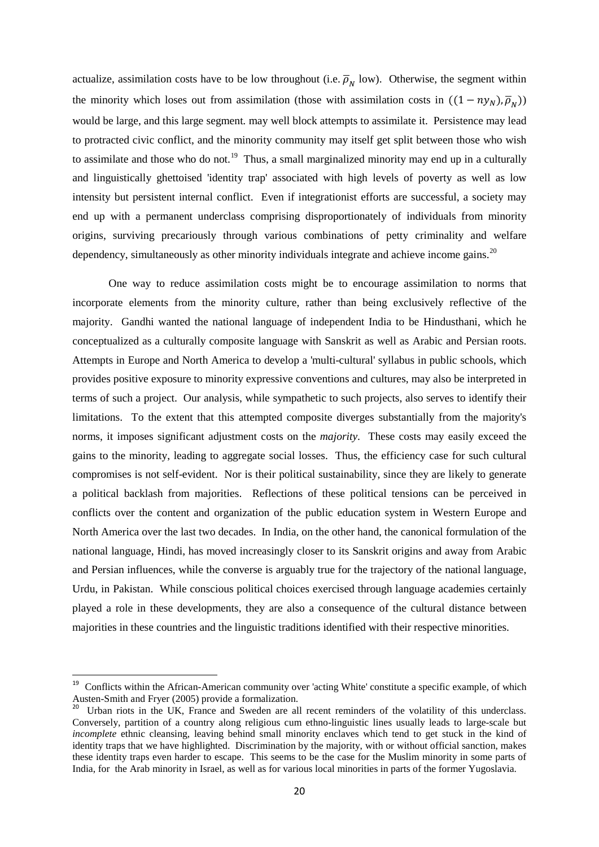actualize, assimilation costs have to be low throughout (i.e.  $\overline{\rho}_N$  low). Otherwise, the segment within the minority which loses out from assimilation (those with assimilation costs in  $((1 - ny_N), \overline{p}_N)$ ) would be large, and this large segment*.* may well block attempts to assimilate it. Persistence may lead to protracted civic conflict, and the minority community may itself get split between those who wish to assimilate and those who do not.<sup>[19](#page-21-1)</sup> Thus, a small marginalized minority may end up in a culturally and linguistically ghettoised 'identity trap' associated with high levels of poverty as well as low intensity but persistent internal conflict. Even if integrationist efforts are successful, a society may end up with a permanent underclass comprising disproportionately of individuals from minority origins, surviving precariously through various combinations of petty criminality and welfare dependency, simultaneously as other minority individuals integrate and achieve income gains.<sup>20</sup>

One way to reduce assimilation costs might be to encourage assimilation to norms that incorporate elements from the minority culture, rather than being exclusively reflective of the majority. Gandhi wanted the national language of independent India to be Hindusthani, which he conceptualized as a culturally composite language with Sanskrit as well as Arabic and Persian roots. Attempts in Europe and North America to develop a 'multi-cultural' syllabus in public schools, which provides positive exposure to minority expressive conventions and cultures, may also be interpreted in terms of such a project. Our analysis, while sympathetic to such projects, also serves to identify their limitations. To the extent that this attempted composite diverges substantially from the majority's norms, it imposes significant adjustment costs on the *majority*. These costs may easily exceed the gains to the minority, leading to aggregate social losses. Thus, the efficiency case for such cultural compromises is not self-evident. Nor is their political sustainability, since they are likely to generate a political backlash from majorities. Reflections of these political tensions can be perceived in conflicts over the content and organization of the public education system in Western Europe and North America over the last two decades. In India, on the other hand, the canonical formulation of the national language, Hindi, has moved increasingly closer to its Sanskrit origins and away from Arabic and Persian influences, while the converse is arguably true for the trajectory of the national language, Urdu, in Pakistan. While conscious political choices exercised through language academies certainly played a role in these developments, they are also a consequence of the cultural distance between majorities in these countries and the linguistic traditions identified with their respective minorities.

<span id="page-22-1"></span><sup>&</sup>lt;sup>19</sup> Conflicts within the African-American community over 'acting White' constitute a specific example, of which Austen-Smith and Fryer  $(2005)$  provide a formalization.

<span id="page-22-0"></span><sup>&</sup>lt;sup>20</sup> Urban riots in the UK, France and Sweden are all recent reminders of the volatility of this underclass. Conversely, partition of a country along religious cum ethno-linguistic lines usually leads to large-scale but *incomplete* ethnic cleansing, leaving behind small minority enclaves which tend to get stuck in the kind of identity traps that we have highlighted. Discrimination by the majority, with or without official sanction, makes these identity traps even harder to escape. This seems to be the case for the Muslim minority in some parts of India, for the Arab minority in Israel, as well as for various local minorities in parts of the former Yugoslavia.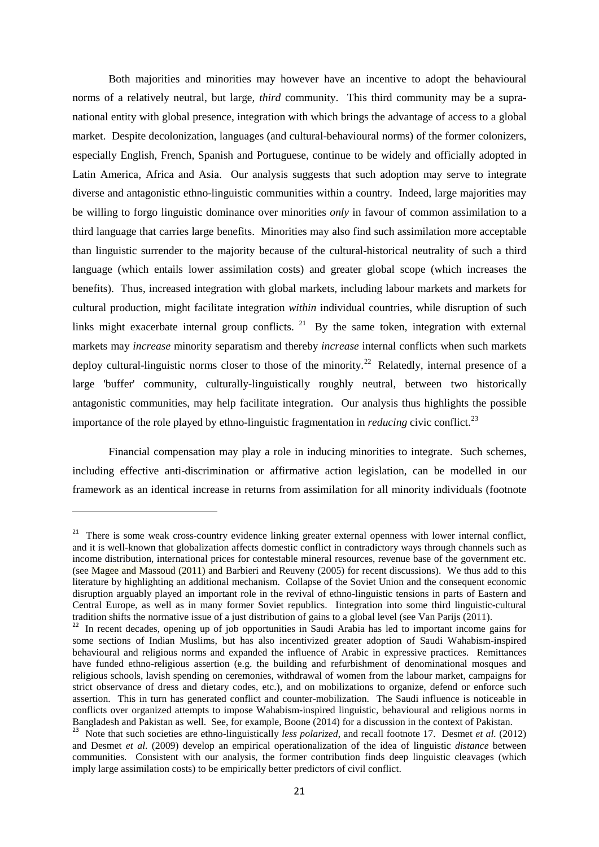Both majorities and minorities may however have an incentive to adopt the behavioural norms of a relatively neutral, but large, *third* community. This third community may be a supranational entity with global presence, integration with which brings the advantage of access to a global market. Despite decolonization, languages (and cultural-behavioural norms) of the former colonizers, especially English, French, Spanish and Portuguese, continue to be widely and officially adopted in Latin America, Africa and Asia. Our analysis suggests that such adoption may serve to integrate diverse and antagonistic ethno-linguistic communities within a country. Indeed, large majorities may be willing to forgo linguistic dominance over minorities *only* in favour of common assimilation to a third language that carries large benefits. Minorities may also find such assimilation more acceptable than linguistic surrender to the majority because of the cultural-historical neutrality of such a third language (which entails lower assimilation costs) and greater global scope (which increases the benefits). Thus, increased integration with global markets, including labour markets and markets for cultural production, might facilitate integration *within* individual countries, while disruption of such links might exacerbate internal group conflicts.  $21$  By the same token, integration with external markets may *increase* minority separatism and thereby *increase* internal conflicts when such markets deploy cultural-linguistic norms closer to those of the minority.<sup>[22](#page-23-0)</sup> Relatedly, internal presence of a large 'buffer' community, culturally-linguistically roughly neutral, between two historically antagonistic communities, may help facilitate integration. Our analysis thus highlights the possible importance of the role played by ethno-linguistic fragmentation in *reducing* civic conflict.[23](#page-23-1)

Financial compensation may play a role in inducing minorities to integrate. Such schemes, including effective anti-discrimination or affirmative action legislation, can be modelled in our framework as an identical increase in returns from assimilation for all minority individuals (footnote

**.** 

<sup>&</sup>lt;sup>21</sup> There is some weak cross-country evidence linking greater external openness with lower internal conflict, and it is well-known that globalization affects domestic conflict in contradictory ways through channels such as income distribution, international prices for contestable mineral resources, revenue base of the government etc. (see Magee and Massoud (2011) and Barbieri and Reuveny (2005) for recent discussions). We thus add to this literature by highlighting an additional mechanism. Collapse of the Soviet Union and the consequent economic disruption arguably played an important role in the revival of ethno-linguistic tensions in parts of Eastern and Central Europe, as well as in many former Soviet republics. Iintegration into some third linguistic-cultural tradition shifts the normative issue of a just distribution of gains to a global level (see Van Parijs (2011).

<span id="page-23-0"></span><sup>&</sup>lt;sup>22</sup> In recent decades, opening up of job opportunities in Saudi Arabia has led to important income gains for some sections of Indian Muslims, but has also incentivized greater adoption of Saudi Wahabism-inspired behavioural and religious norms and expanded the influence of Arabic in expressive practices. Remittances have funded ethno-religious assertion (e.g. the building and refurbishment of denominational mosques and religious schools, lavish spending on ceremonies, withdrawal of women from the labour market, campaigns for strict observance of dress and dietary codes, etc.), and on mobilizations to organize, defend or enforce such assertion. This in turn has generated conflict and counter-mobilization. The Saudi influence is noticeable in conflicts over organized attempts to impose Wahabism-inspired linguistic, behavioural and religious norms in Bangladesh and Pakistan as well. See, for example, Boone (2014) for a discussion in the context of Pakistan.

<span id="page-23-2"></span><span id="page-23-1"></span><sup>23</sup> Note that such societies are ethno-linguistically *less polarized*, and recall footnote 17. Desmet *et al.* (2012) and Desmet *et al*. (2009) develop an empirical operationalization of the idea of linguistic *distance* between communities. Consistent with our analysis, the former contribution finds deep linguistic cleavages (which imply large assimilation costs) to be empirically better predictors of civil conflict.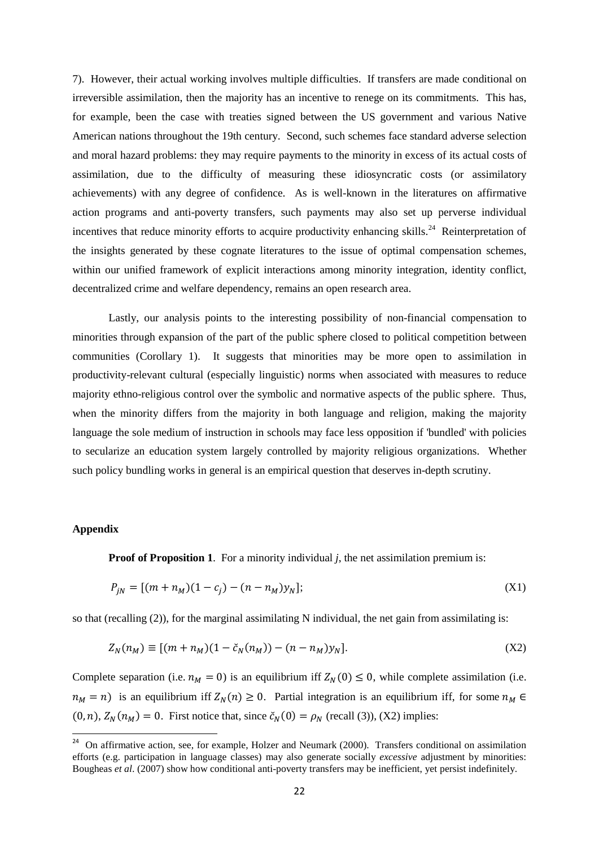7). However, their actual working involves multiple difficulties. If transfers are made conditional on irreversible assimilation, then the majority has an incentive to renege on its commitments. This has, for example, been the case with treaties signed between the US government and various Native American nations throughout the 19th century. Second, such schemes face standard adverse selection and moral hazard problems: they may require payments to the minority in excess of its actual costs of assimilation, due to the difficulty of measuring these idiosyncratic costs (or assimilatory achievements) with any degree of confidence. As is well-known in the literatures on affirmative action programs and anti-poverty transfers, such payments may also set up perverse individual incentives that reduce minority efforts to acquire productivity enhancing skills.<sup>24</sup> Reinterpretation of the insights generated by these cognate literatures to the issue of optimal compensation schemes, within our unified framework of explicit interactions among minority integration, identity conflict, decentralized crime and welfare dependency, remains an open research area.

Lastly, our analysis points to the interesting possibility of non-financial compensation to minorities through expansion of the part of the public sphere closed to political competition between communities (Corollary 1). It suggests that minorities may be more open to assimilation in productivity-relevant cultural (especially linguistic) norms when associated with measures to reduce majority ethno-religious control over the symbolic and normative aspects of the public sphere. Thus, when the minority differs from the majority in both language and religion, making the majority language the sole medium of instruction in schools may face less opposition if 'bundled' with policies to secularize an education system largely controlled by majority religious organizations. Whether such policy bundling works in general is an empirical question that deserves in-depth scrutiny.

#### **Appendix**

**Proof of Proposition 1.** For a minority individual *j*, the net assimilation premium is:

$$
P_{jN} = [(m + n_M)(1 - c_j) - (n - n_M)y_N];
$$
\n(X1)

so that (recalling (2)), for the marginal assimilating N individual, the net gain from assimilating is:

$$
Z_N(n_M) \equiv [(m + n_M)(1 - \breve{c}_N(n_M)) - (n - n_M)y_N]. \tag{X2}
$$

Complete separation (i.e.  $n_M = 0$ ) is an equilibrium iff  $Z_N(0) \le 0$ , while complete assimilation (i.e.  $n_M = n$ ) is an equilibrium iff  $Z_N(n) \geq 0$ . Partial integration is an equilibrium iff, for some  $n_M \in$  $(0, n)$ ,  $Z_N(n_M) = 0$ . First notice that, since  $\tilde{c}_N(0) = \rho_N$  (recall (3)), (X2) implies:

<sup>&</sup>lt;sup>24</sup> On affirmative action, see, for example, Holzer and Neumark (2000). Transfers conditional on assimilation efforts (e.g. participation in language classes) may also generate socially *excessive* adjustment by minorities: Bougheas *et al*. (2007) show how conditional anti-poverty transfers may be inefficient, yet persist indefinitely.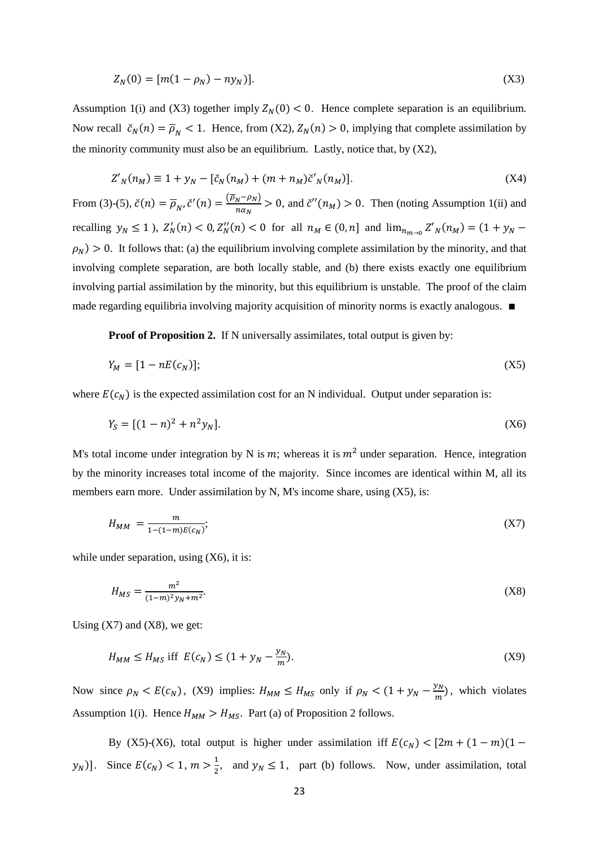$$
Z_N(0) = [m(1 - \rho_N) - ny_N)].
$$
 (X3)

Assumption 1(i) and (X3) together imply  $Z_N(0) < 0$ . Hence complete separation is an equilibrium. Now recall  $\zeta_N(n) = \overline{\rho}_N < 1$ . Hence, from  $(X2), Z_N(n) > 0$ , implying that complete assimilation by the minority community must also be an equilibrium. Lastly, notice that, by  $(X2)$ ,

$$
Z'_{N}(n_{M}) \equiv 1 + y_{N} - [\breve{c}_{N}(n_{M}) + (m + n_{M})\breve{c}'_{N}(n_{M})].
$$
 (X4)

From (3)-(5),  $\breve{c}(n) = \overline{\rho}_N$ ,  $\breve{c}'(n) = \frac{(\rho_N - \rho_N)}{n\alpha_N} > 0$ , and  $\breve{c}''(n_M) > 0$ . Then (noting Assumption 1(ii) and recalling  $y_N \le 1$ ),  $Z'_N(n) < 0, Z''_N(n) < 0$  for all  $n_M \in (0, n]$  and  $\lim_{n \to \infty} Z'_N(n_M) = (1 + y_N \rho_N$ ) > 0. It follows that: (a) the equilibrium involving complete assimilation by the minority, and that involving complete separation, are both locally stable, and (b) there exists exactly one equilibrium involving partial assimilation by the minority, but this equilibrium is unstable. The proof of the claim made regarding equilibria involving majority acquisition of minority norms is exactly analogous. ∎

**Proof of Proposition 2.** If N universally assimilates, total output is given by:

$$
Y_M = [1 - nE(c_N)]; \tag{X5}
$$

where  $E(c_N)$  is the expected assimilation cost for an N individual. Output under separation is:

$$
Y_S = [(1 - n)^2 + n^2 y_N].
$$
 (X6)

M's total income under integration by N is  $m$ ; whereas it is  $m<sup>2</sup>$  under separation. Hence, integration by the minority increases total income of the majority. Since incomes are identical within M, all its members earn more. Under assimilation by N, M's income share, using  $(X5)$ , is:

$$
H_{MM} = \frac{m}{1 - (1 - m)E(c_N)};
$$
\n<sup>(X7)</sup>

while under separation, using  $(X6)$ , it is:

$$
H_{MS} = \frac{m^2}{(1-m)^2 y_N + m^2}.
$$
 (X8)

Using  $(X7)$  and  $(X8)$ , we get:

$$
H_{MM} \le H_{MS} \text{ iff } E(c_N) \le (1 + y_N - \frac{y_N}{m}). \tag{X9}
$$

Now since  $\rho_N < E(c_N)$ , (X9) implies:  $H_{MM} \le H_{MS}$  only if  $\rho_N < (1 + y_N - \frac{y_N}{m})$ , which violates Assumption 1(i). Hence  $H_{MM} > H_{MS}$ . Part (a) of Proposition 2 follows.

By (X5)-(X6), total output is higher under assimilation iff  $E(c_N) < [2m + (1 - m)(1 (y_N)$ ]. Since  $E(c_N) < 1, m > \frac{1}{2}$ , and  $y_N \le 1$ , part (b) follows. Now, under assimilation, total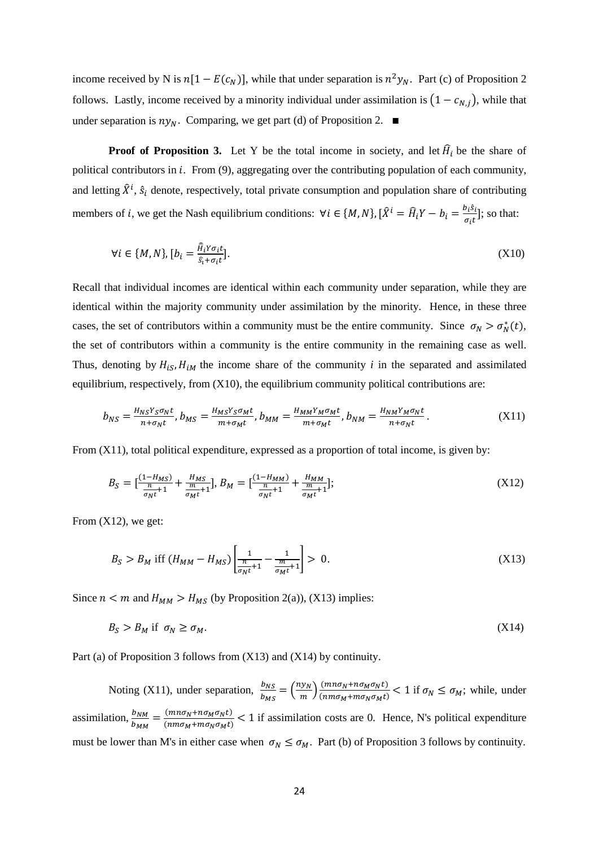income received by N is  $n[1 - E(c_N)]$ , while that under separation is  $n^2y_N$ . Part (c) of Proposition 2 follows. Lastly, income received by a minority individual under assimilation is  $(1 - c_{N,i})$ , while that under separation is  $ny_N$ . Comparing, we get part (d) of Proposition 2.

**Proof of Proposition 3.** Let Y be the total income in society, and let  $\hat{H}_i$  be the share of political contributors in  $i$ . From (9), aggregating over the contributing population of each community, and letting  $\hat{X}^i$ ,  $\hat{S}_i$  denote, respectively, total private consumption and population share of contributing members of *i*, we get the Nash equilibrium conditions:  $\forall i \in \{M, N\}$ ,  $[\hat{X}^i = \hat{H}_i Y - b_i = \frac{b_i s_i}{\sigma_i t}]$  $\frac{\sigma_i s_i}{\sigma_i t}$ ; so that:

$$
\forall i \in \{M, N\}, [b_i = \frac{\widehat{H}_i Y \sigma_i t}{\widehat{s}_i + \sigma_i t}]. \tag{X10}
$$

Recall that individual incomes are identical within each community under separation, while they are identical within the majority community under assimilation by the minority. Hence, in these three cases, the set of contributors within a community must be the entire community. Since  $\sigma_N > \sigma_N^*(t)$ , the set of contributors within a community is the entire community in the remaining case as well. Thus, denoting by  $H_{iS}$ ,  $H_{iM}$  the income share of the community *i* in the separated and assimilated equilibrium, respectively, from  $(X10)$ , the equilibrium community political contributions are:

$$
b_{NS} = \frac{H_{NS}Y_S \sigma_N t}{n + \sigma_N t}, b_{MS} = \frac{H_{MS}Y_S \sigma_M t}{m + \sigma_M t}, b_{MM} = \frac{H_{MM}Y_M \sigma_M t}{m + \sigma_M t}, b_{NM} = \frac{H_{NM}Y_M \sigma_N t}{n + \sigma_N t}.
$$
(X11)

From (X11), total political expenditure, expressed as a proportion of total income, is given by:

$$
B_S = \left[\frac{(1-H_{MS})}{\frac{n}{\sigma_N t} + 1} + \frac{H_{MS}}{\frac{m}{\sigma_M t} + 1}\right], B_M = \left[\frac{(1-H_{MM})}{\frac{n}{\sigma_N t} + 1} + \frac{H_{MM}}{\frac{m}{\sigma_M t} + 1}\right];
$$
\n<sup>(X12)</sup>

From  $(X12)$ , we get:

$$
B_S > B_M \text{ iff } (H_{MM} - H_{MS}) \left[ \frac{1}{\frac{n}{\sigma_M t} + 1} - \frac{1}{\frac{m}{\sigma_M t} + 1} \right] > 0. \tag{X13}
$$

Since  $n < m$  and  $H_{MM} > H_{MS}$  (by Proposition 2(a)), (X13) implies:

$$
B_S > B_M \text{ if } \sigma_N \ge \sigma_M. \tag{X14}
$$

Part (a) of Proposition 3 follows from (X13) and (X14) by continuity.

Noting (X11), under separation,  $\frac{b_{NS}}{b_{MS}} = \left(\frac{ny_N}{m}\right) \frac{(mn\sigma_N + n\sigma_M\sigma_Nt)}{(nm\sigma_M + m\sigma_N\sigma_Mt)} < 1$  if  $\sigma_N \le \sigma_M$ ; while, under assimilation,  $\frac{b_{NM}}{b_{MM}} = \frac{(mn\sigma_N + n\sigma_M\sigma_Nt)}{(nm\sigma_M + m\sigma_N\sigma_Mt)} < 1$  if assimilation costs are 0. Hence, N's political expenditure must be lower than M's in either case when  $\sigma_N \leq \sigma_M$ . Part (b) of Proposition 3 follows by continuity.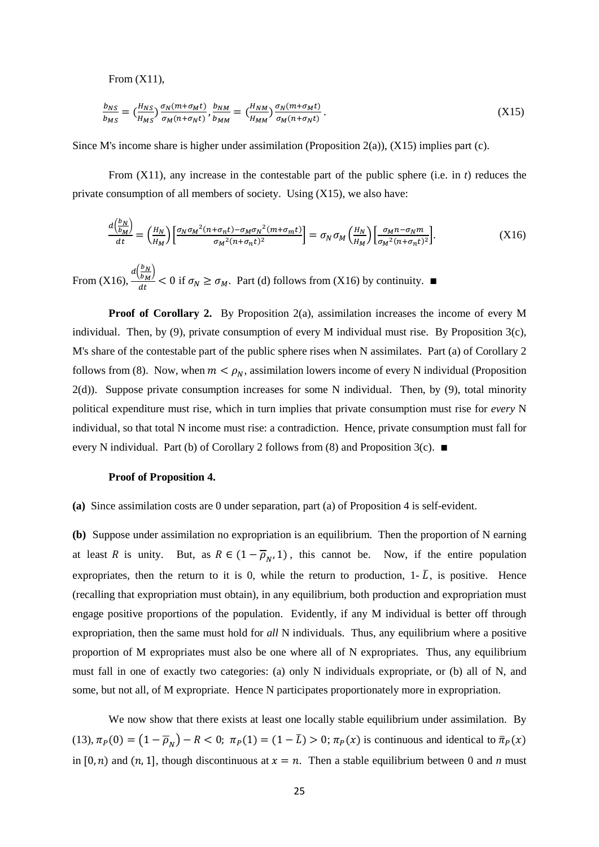#### From (X11),

$$
\frac{b_{NS}}{b_{MS}} = \left(\frac{H_{NS}}{H_{MS}}\right) \frac{\sigma_N (m + \sigma_M t)}{\sigma_M (n + \sigma_N t)}, \frac{b_{NM}}{b_{MM}} = \left(\frac{H_{NM}}{H_{MM}}\right) \frac{\sigma_N (m + \sigma_M t)}{\sigma_M (n + \sigma_N t)}.
$$
\n
$$
(X15)
$$

Since M's income share is higher under assimilation (Proposition 2(a)),  $(X15)$  implies part (c).

From (X11), any increase in the contestable part of the public sphere (i.e. in *t*) reduces the private consumption of all members of society. Using (X15), we also have:

$$
\frac{d\left(\frac{b_N}{b_M}\right)}{dt} = \left(\frac{H_N}{H_M}\right) \left[\frac{\sigma_N \sigma_M^2 (n + \sigma_n t) - \sigma_M \sigma_N^2 (m + \sigma_m t)}{\sigma_M^2 (n + \sigma_n t)^2}\right] = \sigma_N \sigma_M \left(\frac{H_N}{H_M}\right) \left[\frac{\sigma_M n - \sigma_N m}{\sigma_M^2 (n + \sigma_n t)^2}\right].
$$
\n(X16)

From (X16),  $\frac{d\left(\frac{b_N}{b_M}\right)}{dt}$  < 0 if  $\sigma_N \ge \sigma_M$ . Part (d) follows from (X16) by continuity. ■

**Proof of Corollary 2.** By Proposition 2(a), assimilation increases the income of every M individual. Then, by  $(9)$ , private consumption of every M individual must rise. By Proposition 3(c), M's share of the contestable part of the public sphere rises when N assimilates. Part (a) of Corollary 2 follows from (8). Now, when  $m < \rho_N$ , assimilation lowers income of every N individual (Proposition 2(d)). Suppose private consumption increases for some N individual. Then, by (9), total minority political expenditure must rise, which in turn implies that private consumption must rise for *every* N individual, so that total N income must rise: a contradiction. Hence, private consumption must fall for every N individual. Part (b) of Corollary 2 follows from (8) and Proposition 3(c). ∎

#### **Proof of Proposition 4.**

**(a)** Since assimilation costs are 0 under separation, part (a) of Proposition 4 is self-evident.

**(b)** Suppose under assimilation no expropriation is an equilibrium. Then the proportion of N earning at least R is unity. But, as  $R \in (1 - \overline{\rho}_N, 1)$ , this cannot be. Now, if the entire population expropriates, then the return to it is 0, while the return to production, 1- $\overline{L}$ , is positive. Hence (recalling that expropriation must obtain), in any equilibrium, both production and expropriation must engage positive proportions of the population. Evidently, if any M individual is better off through expropriation, then the same must hold for *all* N individuals. Thus, any equilibrium where a positive proportion of M expropriates must also be one where all of N expropriates. Thus, any equilibrium must fall in one of exactly two categories: (a) only N individuals expropriate, or (b) all of N, and some, but not all, of M expropriate. Hence N participates proportionately more in expropriation.

We now show that there exists at least one locally stable equilibrium under assimilation. By (13),  $\pi_P(0) = (1 - \overline{\rho}_N) - R < 0$ ;  $\pi_P(1) = (1 - \overline{L}) > 0$ ;  $\pi_P(\chi)$  is continuous and identical to  $\overline{\pi}_P(\chi)$ in [0, n) and  $(n, 1]$ , though discontinuous at  $x = n$ . Then a stable equilibrium between 0 and *n* must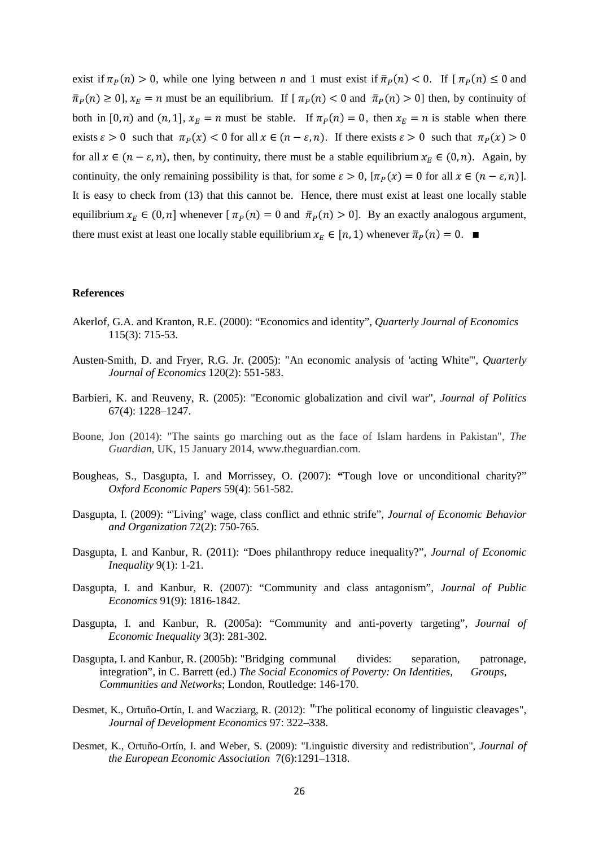exist if  $\pi_P(n) > 0$ , while one lying between *n* and 1 must exist if  $\bar{\pi}_P(n) < 0$ . If  $[\pi_P(n) \leq 0$  and  $\bar{\pi}_P(n) \ge 0$ ,  $x_E = n$  must be an equilibrium. If  $[\pi_P(n) < 0$  and  $\bar{\pi}_P(n) > 0]$  then, by continuity of both in [0, n) and  $(n, 1]$ ,  $x_E = n$  must be stable. If  $\pi_P(n) = 0$ , then  $x_E = n$  is stable when there exists  $\varepsilon > 0$  such that  $\pi_p(x) < 0$  for all  $x \in (n - \varepsilon, n)$ . If there exists  $\varepsilon > 0$  such that  $\pi_p(x) > 0$ for all  $x \in (n - \varepsilon, n)$ , then, by continuity, there must be a stable equilibrium  $x_E \in (0, n)$ . Again, by continuity, the only remaining possibility is that, for some  $\varepsilon > 0$ ,  $[\pi_p(x) = 0$  for all  $x \in (n - \varepsilon, n)]$ . It is easy to check from (13) that this cannot be. Hence, there must exist at least one locally stable equilibrium  $x_E \in (0, n]$  whenever  $[\pi_P(n) = 0$  and  $\bar{\pi}_P(n) > 0]$ . By an exactly analogous argument, there must exist at least one locally stable equilibrium  $x_E \in [n, 1)$  whenever  $\bar{\pi}_P(n) = 0$ .

#### **References**

- Akerlof, G.A. and Kranton, R.E. (2000): "Economics and identity", *Quarterly Journal of Economics* 115(3): 715-53.
- Austen-Smith, D. and Fryer, R.G. Jr. (2005): "An economic analysis of 'acting White'", *Quarterly Journal of Economics* 120(2): 551-583.
- Barbieri, K. and Reuveny, R. (2005): "Economic globalization and civil war", *Journal of Politics* 67(4): 1228–1247.
- Boone, Jon (2014): "The saints go marching out as the face of Islam hardens in Pakistan", *The Guardian*, UK, 15 January 2014, www.theguardian.com.
- Bougheas, S., Dasgupta, I. and Morrissey, O. (2007): **"**Tough love or unconditional charity?" *Oxford Economic Papers* 59(4): 561-582.
- Dasgupta, I. (2009): "'Living' wage, class conflict and ethnic strife", *Journal of Economic Behavior and Organization* 72(2): 750-765.
- Dasgupta, I. and Kanbur, R. (2011): "Does philanthropy reduce inequality?", *Journal of Economic Inequality* 9(1): 1-21.
- Dasgupta, I. and Kanbur, R. (2007): "Community and class antagonism", *Journal of Public Economics* 91(9): 1816-1842.
- Dasgupta, I. and Kanbur, R. (2005a): "Community and anti-poverty targeting", *Journal of Economic Inequality* 3(3): 281-302.
- Dasgupta, I. and Kanbur, R. (2005b): "Bridging communal divides: separation, patronage, integration", in C. Barrett (ed.) *The Social Economics of Poverty: On Identities, Groups, Communities and Networks*; London, Routledge: 146-170.
- Desmet, K., Ortuño-Ortín, I. and Wacziarg, R. (2012): "The political economy of linguistic cleavages", *Journal of Development Economics* 97: 322–338.
- Desmet, K., Ortuño-Ortín, I. and Weber, S. (2009): "Linguistic diversity and redistribution", *Journal of the European Economic Association* 7(6):1291–1318.